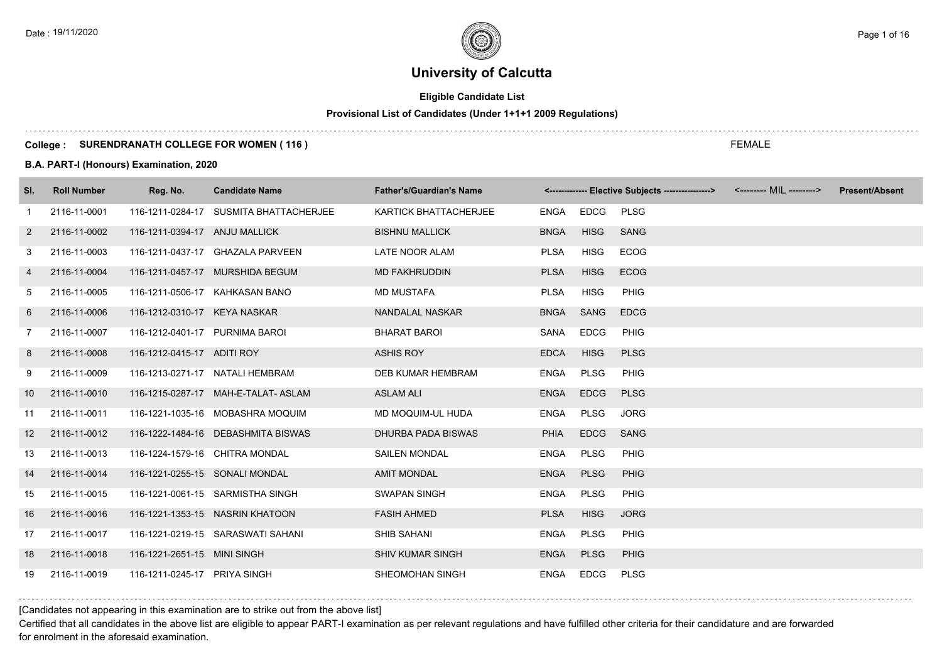# **Eligible Candidate List**

# **Provisional List of Candidates (Under 1+1+1 2009 Regulations)**

#### **College : SURENDRANATH COLLEGE FOR WOMEN ( 116 )**

**B.A. PART-I (Honours) Examination, 2020**

| SI.               | <b>Roll Number</b> | Reg. No.                       | <b>Candidate Name</b>                  | <b>Father's/Guardian's Name</b> |             |             | <------------- Elective Subjects ----------------> <-------- MIL --------> | <b>Present/Absent</b> |
|-------------------|--------------------|--------------------------------|----------------------------------------|---------------------------------|-------------|-------------|----------------------------------------------------------------------------|-----------------------|
| -1                | 2116-11-0001       |                                | 116-1211-0284-17 SUSMITA BHATTACHERJEE | <b>KARTICK BHATTACHERJEE</b>    | ENGA EDCG   |             | <b>PLSG</b>                                                                |                       |
| $\overline{2}$    | 2116-11-0002       | 116-1211-0394-17 ANJU MALLICK  |                                        | <b>BISHNU MALLICK</b>           | <b>BNGA</b> | <b>HISG</b> | <b>SANG</b>                                                                |                       |
| 3                 | 2116-11-0003       |                                | 116-1211-0437-17 GHAZALA PARVEEN       | LATE NOOR ALAM                  | <b>PLSA</b> | <b>HISG</b> | <b>ECOG</b>                                                                |                       |
| 4                 | 2116-11-0004       |                                | 116-1211-0457-17 MURSHIDA BEGUM        | <b>MD FAKHRUDDIN</b>            | <b>PLSA</b> | <b>HISG</b> | ECOG                                                                       |                       |
| 5                 | 2116-11-0005       |                                | 116-1211-0506-17 KAHKASAN BANO         | <b>MD MUSTAFA</b>               | <b>PLSA</b> | <b>HISG</b> | <b>PHIG</b>                                                                |                       |
| 6                 | 2116-11-0006       | 116-1212-0310-17 KEYA NASKAR   |                                        | NANDALAL NASKAR                 | <b>BNGA</b> | SANG        | <b>EDCG</b>                                                                |                       |
| $\overline{7}$    | 2116-11-0007       | 116-1212-0401-17 PURNIMA BAROI |                                        | <b>BHARAT BAROI</b>             | SANA        | <b>EDCG</b> | <b>PHIG</b>                                                                |                       |
| 8                 | 2116-11-0008       | 116-1212-0415-17 ADITI ROY     |                                        | <b>ASHIS ROY</b>                | <b>EDCA</b> | <b>HISG</b> | <b>PLSG</b>                                                                |                       |
| 9                 | 2116-11-0009       |                                | 116-1213-0271-17 NATALI HEMBRAM        | DEB KUMAR HEMBRAM               | <b>ENGA</b> | <b>PLSG</b> | <b>PHIG</b>                                                                |                       |
| 10                | 2116-11-0010       |                                | 116-1215-0287-17 MAH-E-TALAT- ASLAM    | <b>ASLAM ALI</b>                | <b>ENGA</b> | <b>EDCG</b> | <b>PLSG</b>                                                                |                       |
| 11                | 2116-11-0011       |                                | 116-1221-1035-16 MOBASHRA MOQUIM       | MD MOQUIM-UL HUDA               | <b>ENGA</b> | PLSG        | <b>JORG</b>                                                                |                       |
| $12 \overline{ }$ | 2116-11-0012       |                                | 116-1222-1484-16 DEBASHMITA BISWAS     | DHURBA PADA BISWAS              | <b>PHIA</b> | <b>EDCG</b> | <b>SANG</b>                                                                |                       |
| 13                | 2116-11-0013       |                                | 116-1224-1579-16 CHITRA MONDAL         | <b>SAILEN MONDAL</b>            | ENGA        | PLSG        | <b>PHIG</b>                                                                |                       |
| 14                | 2116-11-0014       | 116-1221-0255-15 SONALI MONDAL |                                        | <b>AMIT MONDAL</b>              | <b>ENGA</b> | <b>PLSG</b> | <b>PHIG</b>                                                                |                       |
| 15                | 2116-11-0015       |                                | 116-1221-0061-15 SARMISTHA SINGH       | SWAPAN SINGH                    | <b>ENGA</b> | <b>PLSG</b> | PHIG                                                                       |                       |
| 16                | 2116-11-0016       |                                | 116-1221-1353-15 NASRIN KHATOON        | <b>FASIH AHMED</b>              | <b>PLSA</b> | <b>HISG</b> | <b>JORG</b>                                                                |                       |
| 17                | 2116-11-0017       |                                | 116-1221-0219-15 SARASWATI SAHANI      | SHIB SAHANI                     | ENGA        | PLSG        | <b>PHIG</b>                                                                |                       |
| 18                | 2116-11-0018       | 116-1221-2651-15 MINI SINGH    |                                        | <b>SHIV KUMAR SINGH</b>         | <b>ENGA</b> | <b>PLSG</b> | <b>PHIG</b>                                                                |                       |
| 19                | 2116-11-0019       | 116-1211-0245-17 PRIYA SINGH   |                                        | SHEOMOHAN SINGH                 | ENGA        | <b>EDCG</b> | <b>PLSG</b>                                                                |                       |

[Candidates not appearing in this examination are to strike out from the above list]

Certified that all candidates in the above list are eligible to appear PART-I examination as per relevant regulations and have fulfilled other criteria for their candidature and are forwarded for enrolment in the aforesaid examination.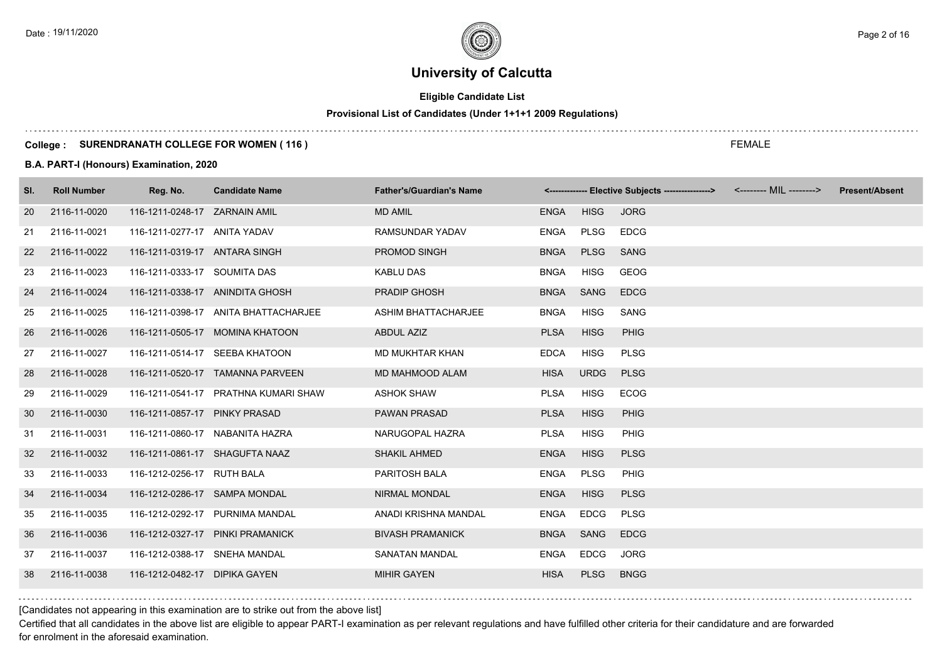# **Eligible Candidate List**

# **Provisional List of Candidates (Under 1+1+1 2009 Regulations)**

#### **College : SURENDRANATH COLLEGE FOR WOMEN ( 116 )**

#### **B.A. PART-I (Honours) Examination, 2020**

| SI. | <b>Roll Number</b> | Reg. No.                       | <b>Candidate Name</b>                | <b>Father's/Guardian's Name</b> |             |             | <-------------- Elective Subjects ----------------> | <-------- MIL --------> | <b>Present/Absent</b> |
|-----|--------------------|--------------------------------|--------------------------------------|---------------------------------|-------------|-------------|-----------------------------------------------------|-------------------------|-----------------------|
| 20  | 2116-11-0020       | 116-1211-0248-17 ZARNAIN AMIL  |                                      | <b>MD AMIL</b>                  | ENGA        | <b>HISG</b> | <b>JORG</b>                                         |                         |                       |
| 21  | 2116-11-0021       | 116-1211-0277-17 ANITA YADAV   |                                      | <b>RAMSUNDAR YADAV</b>          | ENGA        | PLSG        | <b>EDCG</b>                                         |                         |                       |
| 22  | 2116-11-0022       | 116-1211-0319-17 ANTARA SINGH  |                                      | PROMOD SINGH                    | <b>BNGA</b> | <b>PLSG</b> | <b>SANG</b>                                         |                         |                       |
| 23  | 2116-11-0023       | 116-1211-0333-17 SOUMITA DAS   |                                      | KABLU DAS                       | <b>BNGA</b> | <b>HISG</b> | GEOG                                                |                         |                       |
| 24  | 2116-11-0024       |                                | 116-1211-0338-17 ANINDITA GHOSH      | <b>PRADIP GHOSH</b>             | BNGA SANG   |             | <b>EDCG</b>                                         |                         |                       |
| 25  | 2116-11-0025       |                                | 116-1211-0398-17 ANITA BHATTACHARJEE | <b>ASHIM BHATTACHARJEE</b>      | <b>BNGA</b> | <b>HISG</b> | SANG                                                |                         |                       |
| 26  | 2116-11-0026       |                                | 116-1211-0505-17 MOMINA KHATOON      | ABDUL AZIZ                      | <b>PLSA</b> | <b>HISG</b> | <b>PHIG</b>                                         |                         |                       |
| 27  | 2116-11-0027       |                                | 116-1211-0514-17 SEEBA KHATOON       | MD MUKHTAR KHAN                 | <b>EDCA</b> | <b>HISG</b> | <b>PLSG</b>                                         |                         |                       |
| 28  | 2116-11-0028       |                                | 116-1211-0520-17 TAMANNA PARVEEN     | MD MAHMOOD ALAM                 | <b>HISA</b> | <b>URDG</b> | <b>PLSG</b>                                         |                         |                       |
| 29  | 2116-11-0029       |                                | 116-1211-0541-17 PRATHNA KUMARI SHAW | <b>ASHOK SHAW</b>               | <b>PLSA</b> | <b>HISG</b> | <b>ECOG</b>                                         |                         |                       |
| 30  | 2116-11-0030       | 116-1211-0857-17 PINKY PRASAD  |                                      | <b>PAWAN PRASAD</b>             | <b>PLSA</b> | <b>HISG</b> | <b>PHIG</b>                                         |                         |                       |
| 31  | 2116-11-0031       |                                | 116-1211-0860-17 NABANITA HAZRA      | NARUGOPAL HAZRA                 | <b>PLSA</b> | <b>HISG</b> | <b>PHIG</b>                                         |                         |                       |
| 32  | 2116-11-0032       | 116-1211-0861-17 SHAGUFTA NAAZ |                                      | <b>SHAKIL AHMED</b>             | <b>ENGA</b> | <b>HISG</b> | <b>PLSG</b>                                         |                         |                       |
| 33  | 2116-11-0033       | 116-1212-0256-17 RUTH BALA     |                                      | PARITOSH BALA                   | ENGA        | PLSG        | PHIG                                                |                         |                       |
| 34  | 2116-11-0034       | 116-1212-0286-17 SAMPA MONDAL  |                                      | <b>NIRMAL MONDAL</b>            | <b>ENGA</b> | <b>HISG</b> | <b>PLSG</b>                                         |                         |                       |
| 35  | 2116-11-0035       |                                | 116-1212-0292-17 PURNIMA MANDAL      | ANADI KRISHNA MANDAL            | ENGA        | EDCG        | <b>PLSG</b>                                         |                         |                       |
| 36  | 2116-11-0036       |                                | 116-1212-0327-17 PINKI PRAMANICK     | <b>BIVASH PRAMANICK</b>         | <b>BNGA</b> | SANG        | <b>EDCG</b>                                         |                         |                       |
| 37  | 2116-11-0037       | 116-1212-0388-17 SNEHA MANDAL  |                                      | <b>SANATAN MANDAL</b>           | ENGA        | EDCG        | <b>JORG</b>                                         |                         |                       |
| 38  | 2116-11-0038       | 116-1212-0482-17 DIPIKA GAYEN  |                                      | <b>MIHIR GAYEN</b>              | <b>HISA</b> | <b>PLSG</b> | <b>BNGG</b>                                         |                         |                       |

[Candidates not appearing in this examination are to strike out from the above list]

Certified that all candidates in the above list are eligible to appear PART-I examination as per relevant regulations and have fulfilled other criteria for their candidature and are forwarded for enrolment in the aforesaid examination.

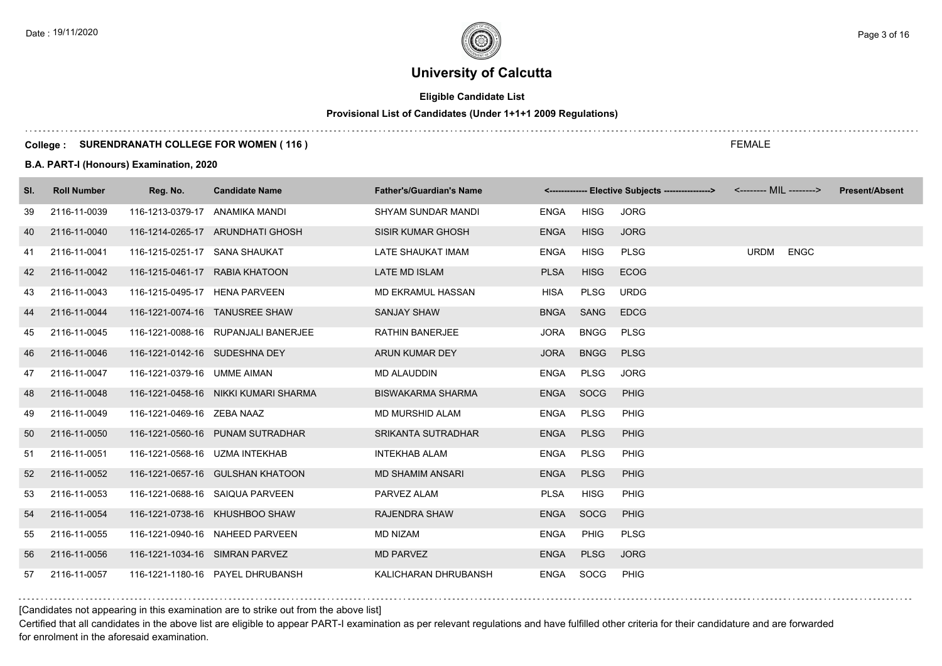# **Eligible Candidate List**

# **Provisional List of Candidates (Under 1+1+1 2009 Regulations)**

#### **College : SURENDRANATH COLLEGE FOR WOMEN ( 116 )**

#### **B.A. PART-I (Honours) Examination, 2020**

| SI. | <b>Roll Number</b> | Reg. No.                       | <b>Candidate Name</b>                | <b>Father's/Guardian's Name</b> |             |             | <-------------- Elective Subjects ----------------> |             |             | <b>Present/Absent</b> |
|-----|--------------------|--------------------------------|--------------------------------------|---------------------------------|-------------|-------------|-----------------------------------------------------|-------------|-------------|-----------------------|
| 39  | 2116-11-0039       | 116-1213-0379-17 ANAMIKA MANDI |                                      | SHYAM SUNDAR MANDI              | ENGA        | <b>HISG</b> | <b>JORG</b>                                         |             |             |                       |
| 40  | 2116-11-0040       |                                | 116-1214-0265-17 ARUNDHATI GHOSH     | <b>SISIR KUMAR GHOSH</b>        | <b>ENGA</b> | <b>HISG</b> | <b>JORG</b>                                         |             |             |                       |
| 41  | 2116-11-0041       | 116-1215-0251-17 SANA SHAUKAT  |                                      | LATE SHAUKAT IMAM               | <b>ENGA</b> | <b>HISG</b> | <b>PLSG</b>                                         | <b>URDM</b> | <b>ENGC</b> |                       |
| 42  | 2116-11-0042       | 116-1215-0461-17 RABIA KHATOON |                                      | LATE MD ISLAM                   | <b>PLSA</b> | <b>HISG</b> | <b>ECOG</b>                                         |             |             |                       |
| 43  | 2116-11-0043       | 116-1215-0495-17 HENA PARVEEN  |                                      | MD EKRAMUL HASSAN               | <b>HISA</b> | <b>PLSG</b> | <b>URDG</b>                                         |             |             |                       |
| 44  | 2116-11-0044       |                                | 116-1221-0074-16 TANUSREE SHAW       | <b>SANJAY SHAW</b>              | <b>BNGA</b> | SANG        | <b>EDCG</b>                                         |             |             |                       |
| 45  | 2116-11-0045       |                                | 116-1221-0088-16 RUPANJALI BANERJEE  | <b>RATHIN BANERJEE</b>          | <b>JORA</b> | <b>BNGG</b> | <b>PLSG</b>                                         |             |             |                       |
| 46  | 2116-11-0046       | 116-1221-0142-16 SUDESHNA DEY  |                                      | ARUN KUMAR DEY                  | <b>JORA</b> | <b>BNGG</b> | <b>PLSG</b>                                         |             |             |                       |
| 47  | 2116-11-0047       | 116-1221-0379-16 UMME AIMAN    |                                      | <b>MD ALAUDDIN</b>              | <b>ENGA</b> | PLSG        | <b>JORG</b>                                         |             |             |                       |
| 48  | 2116-11-0048       |                                | 116-1221-0458-16 NIKKI KUMARI SHARMA | <b>BISWAKARMA SHARMA</b>        | <b>ENGA</b> | SOCG        | <b>PHIG</b>                                         |             |             |                       |
| 49  | 2116-11-0049       | 116-1221-0469-16 ZEBA NAAZ     |                                      | MD MURSHID ALAM                 | <b>ENGA</b> | <b>PLSG</b> | PHIG                                                |             |             |                       |
| 50  | 2116-11-0050       |                                | 116-1221-0560-16 PUNAM SUTRADHAR     | <b>SRIKANTA SUTRADHAR</b>       | <b>ENGA</b> | <b>PLSG</b> | <b>PHIG</b>                                         |             |             |                       |
| 51  | 2116-11-0051       | 116-1221-0568-16 UZMA INTEKHAB |                                      | <b>INTEKHAB ALAM</b>            | <b>ENGA</b> | <b>PLSG</b> | <b>PHIG</b>                                         |             |             |                       |
| 52  | 2116-11-0052       |                                | 116-1221-0657-16 GULSHAN KHATOON     | <b>MD SHAMIM ANSARI</b>         | <b>ENGA</b> | <b>PLSG</b> | <b>PHIG</b>                                         |             |             |                       |
| 53  | 2116-11-0053       |                                | 116-1221-0688-16 SAIQUA PARVEEN      | PARVEZ ALAM                     | <b>PLSA</b> | <b>HISG</b> | PHIG                                                |             |             |                       |
| 54  | 2116-11-0054       |                                | 116-1221-0738-16 KHUSHBOO SHAW       | <b>RAJENDRA SHAW</b>            | <b>ENGA</b> | SOCG        | PHIG                                                |             |             |                       |
| 55  | 2116-11-0055       |                                | 116-1221-0940-16 NAHEED PARVEEN      | <b>MD NIZAM</b>                 | ENGA        | <b>PHIG</b> | <b>PLSG</b>                                         |             |             |                       |
| 56  | 2116-11-0056       | 116-1221-1034-16 SIMRAN PARVEZ |                                      | <b>MD PARVEZ</b>                | <b>ENGA</b> | <b>PLSG</b> | <b>JORG</b>                                         |             |             |                       |
| 57  | 2116-11-0057       |                                | 116-1221-1180-16 PAYEL DHRUBANSH     | KALICHARAN DHRUBANSH            | ENGA        | SOCG        | <b>PHIG</b>                                         |             |             |                       |

#### [Candidates not appearing in this examination are to strike out from the above list]

Certified that all candidates in the above list are eligible to appear PART-I examination as per relevant regulations and have fulfilled other criteria for their candidature and are forwarded for enrolment in the aforesaid examination.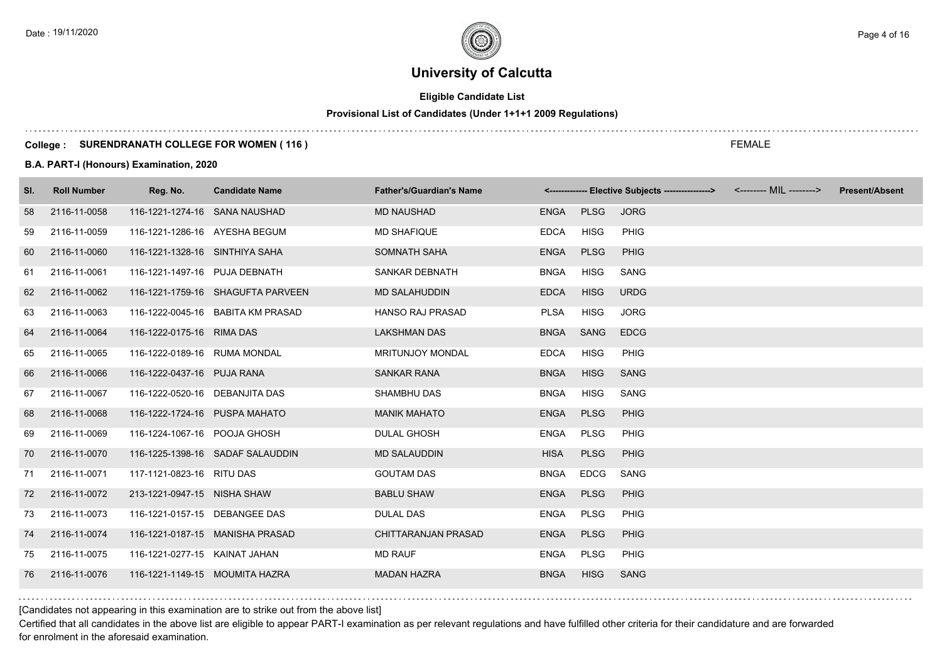# **Eligible Candidate List**

# **Provisional List of Candidates (Under 1+1+1 2009 Regulations)**

#### **College : SURENDRANATH COLLEGE FOR WOMEN ( 116 )**

#### **B.A. PART-I (Honours) Examination, 2020**

| SI. | <b>Roll Number</b> | Reg. No.                       | <b>Candidate Name</b>             | <b>Father's/Guardian's Name</b> |             |             | <------------- Elective Subjects ----------------> <-------- MIL --------> | <b>Present/Absent</b> |
|-----|--------------------|--------------------------------|-----------------------------------|---------------------------------|-------------|-------------|----------------------------------------------------------------------------|-----------------------|
| 58  | 2116-11-0058       | 116-1221-1274-16 SANA NAUSHAD  |                                   | <b>MD NAUSHAD</b>               | ENGA        | <b>PLSG</b> | <b>JORG</b>                                                                |                       |
| 59  | 2116-11-0059       | 116-1221-1286-16 AYESHA BEGUM  |                                   | <b>MD SHAFIQUE</b>              | <b>EDCA</b> | <b>HISG</b> | PHIG                                                                       |                       |
| 60  | 2116-11-0060       | 116-1221-1328-16 SINTHIYA SAHA |                                   | SOMNATH SAHA                    | <b>ENGA</b> | <b>PLSG</b> | PHIG                                                                       |                       |
| 61  | 2116-11-0061       | 116-1221-1497-16 PUJA DEBNATH  |                                   | <b>SANKAR DEBNATH</b>           | <b>BNGA</b> | <b>HISG</b> | SANG                                                                       |                       |
| 62  | 2116-11-0062       |                                | 116-1221-1759-16 SHAGUFTA PARVEEN | <b>MD SALAHUDDIN</b>            | <b>EDCA</b> | <b>HISG</b> | <b>URDG</b>                                                                |                       |
| 63  | 2116-11-0063       |                                | 116-1222-0045-16 BABITA KM PRASAD | <b>HANSO RAJ PRASAD</b>         | <b>PLSA</b> | HISG        | <b>JORG</b>                                                                |                       |
| 64  | 2116-11-0064       | 116-1222-0175-16 RIMA DAS      |                                   | <b>LAKSHMAN DAS</b>             | <b>BNGA</b> | SANG        | <b>EDCG</b>                                                                |                       |
| 65  | 2116-11-0065       | 116-1222-0189-16 RUMA MONDAL   |                                   | <b>MRITUNJOY MONDAL</b>         | <b>EDCA</b> | <b>HISG</b> | PHIG                                                                       |                       |
| 66  | 2116-11-0066       | 116-1222-0437-16 PUJA RANA     |                                   | <b>SANKAR RANA</b>              | <b>BNGA</b> | <b>HISG</b> | <b>SANG</b>                                                                |                       |
| 67  | 2116-11-0067       | 116-1222-0520-16 DEBANJITA DAS |                                   | SHAMBHU DAS                     | <b>BNGA</b> | <b>HISG</b> | SANG                                                                       |                       |
| 68  | 2116-11-0068       | 116-1222-1724-16 PUSPA MAHATO  |                                   | <b>MANIK MAHATO</b>             | <b>ENGA</b> | <b>PLSG</b> | <b>PHIG</b>                                                                |                       |
| 69  | 2116-11-0069       | 116-1224-1067-16 POOJA GHOSH   |                                   | <b>DULAL GHOSH</b>              | ENGA        | <b>PLSG</b> | PHIG                                                                       |                       |
| 70  | 2116-11-0070       |                                | 116-1225-1398-16 SADAF SALAUDDIN  | <b>MD SALAUDDIN</b>             | <b>HISA</b> | <b>PLSG</b> | <b>PHIG</b>                                                                |                       |
| 71  | 2116-11-0071       | 117-1121-0823-16 RITU DAS      |                                   | <b>GOUTAM DAS</b>               | <b>BNGA</b> | <b>EDCG</b> | SANG                                                                       |                       |
| 72  | 2116-11-0072       | 213-1221-0947-15 NISHA SHAW    |                                   | <b>BABLU SHAW</b>               | <b>ENGA</b> | <b>PLSG</b> | PHIG                                                                       |                       |
| 73  | 2116-11-0073       | 116-1221-0157-15 DEBANGEE DAS  |                                   | <b>DULAL DAS</b>                | ENGA        | <b>PLSG</b> | PHIG                                                                       |                       |
| 74  | 2116-11-0074       |                                | 116-1221-0187-15 MANISHA PRASAD   | <b>CHITTARANJAN PRASAD</b>      | <b>ENGA</b> | <b>PLSG</b> | PHIG                                                                       |                       |
| 75  | 2116-11-0075       | 116-1221-0277-15 KAINAT JAHAN  |                                   | <b>MD RAUF</b>                  | ENGA        | PLSG        | PHIG                                                                       |                       |
| 76  | 2116-11-0076       | 116-1221-1149-15 MOUMITA HAZRA |                                   | <b>MADAN HAZRA</b>              | <b>BNGA</b> | <b>HISG</b> | <b>SANG</b>                                                                |                       |

[Candidates not appearing in this examination are to strike out from the above list]

Certified that all candidates in the above list are eligible to appear PART-I examination as per relevant regulations and have fulfilled other criteria for their candidature and are forwarded for enrolment in the aforesaid examination.

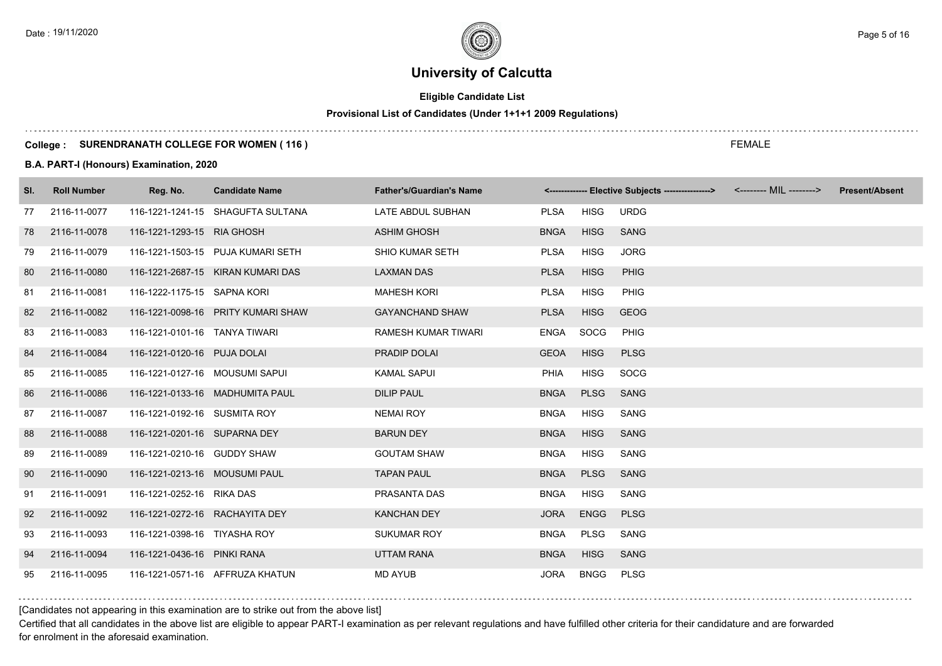# **Eligible Candidate List**

# **Provisional List of Candidates (Under 1+1+1 2009 Regulations)**

#### **College : SURENDRANATH COLLEGE FOR WOMEN ( 116 )**

#### **B.A. PART-I (Honours) Examination, 2020**

| SI. | <b>Roll Number</b> | Reg. No.                       | <b>Candidate Name</b>              | <b>Father's/Guardian's Name</b> |             |             | <------------- Elective Subjects ----------------> <-------- MIL --------> | <b>Present/Absent</b> |
|-----|--------------------|--------------------------------|------------------------------------|---------------------------------|-------------|-------------|----------------------------------------------------------------------------|-----------------------|
| 77  | 2116-11-0077       |                                | 116-1221-1241-15 SHAGUFTA SULTANA  | LATE ABDUL SUBHAN               | <b>PLSA</b> | <b>HISG</b> | <b>URDG</b>                                                                |                       |
| 78  | 2116-11-0078       | 116-1221-1293-15 RIA GHOSH     |                                    | <b>ASHIM GHOSH</b>              | <b>BNGA</b> | <b>HISG</b> | <b>SANG</b>                                                                |                       |
| 79  | 2116-11-0079       |                                | 116-1221-1503-15 PUJA KUMARI SETH  | <b>SHIO KUMAR SETH</b>          | <b>PLSA</b> | <b>HISG</b> | <b>JORG</b>                                                                |                       |
| 80  | 2116-11-0080       |                                | 116-1221-2687-15 KIRAN KUMARI DAS  | <b>LAXMAN DAS</b>               | <b>PLSA</b> | <b>HISG</b> | <b>PHIG</b>                                                                |                       |
| 81  | 2116-11-0081       | 116-1222-1175-15 SAPNA KORI    |                                    | <b>MAHESH KORI</b>              | <b>PLSA</b> | <b>HISG</b> | <b>PHIG</b>                                                                |                       |
| 82  | 2116-11-0082       |                                | 116-1221-0098-16 PRITY KUMARI SHAW | <b>GAYANCHAND SHAW</b>          | <b>PLSA</b> | <b>HISG</b> | <b>GEOG</b>                                                                |                       |
| 83  | 2116-11-0083       | 116-1221-0101-16 TANYA TIWARI  |                                    | <b>RAMESH KUMAR TIWARI</b>      | <b>ENGA</b> | SOCG        | <b>PHIG</b>                                                                |                       |
| 84  | 2116-11-0084       | 116-1221-0120-16 PUJA DOLAI    |                                    | PRADIP DOLAI                    | <b>GEOA</b> | <b>HISG</b> | <b>PLSG</b>                                                                |                       |
| 85  | 2116-11-0085       | 116-1221-0127-16 MOUSUMI SAPUI |                                    | <b>KAMAL SAPUI</b>              | <b>PHIA</b> | <b>HISG</b> | SOCG                                                                       |                       |
| 86  | 2116-11-0086       |                                | 116-1221-0133-16 MADHUMITA PAUL    | <b>DILIP PAUL</b>               | <b>BNGA</b> | <b>PLSG</b> | <b>SANG</b>                                                                |                       |
| 87  | 2116-11-0087       | 116-1221-0192-16 SUSMITA ROY   |                                    | <b>NEMAI ROY</b>                | <b>BNGA</b> | HISG        | <b>SANG</b>                                                                |                       |
| 88  | 2116-11-0088       | 116-1221-0201-16 SUPARNA DEY   |                                    | <b>BARUN DEY</b>                | <b>BNGA</b> | <b>HISG</b> | <b>SANG</b>                                                                |                       |
| 89  | 2116-11-0089       | 116-1221-0210-16 GUDDY SHAW    |                                    | <b>GOUTAM SHAW</b>              | <b>BNGA</b> | <b>HISG</b> | SANG                                                                       |                       |
| 90  | 2116-11-0090       | 116-1221-0213-16 MOUSUMI PAUL  |                                    | <b>TAPAN PAUL</b>               | <b>BNGA</b> | <b>PLSG</b> | <b>SANG</b>                                                                |                       |
| 91  | 2116-11-0091       | 116-1221-0252-16 RIKA DAS      |                                    | PRASANTA DAS                    | <b>BNGA</b> | <b>HISG</b> | <b>SANG</b>                                                                |                       |
| 92  | 2116-11-0092       | 116-1221-0272-16 RACHAYITA DEY |                                    | KANCHAN DEY                     | <b>JORA</b> | <b>ENGG</b> | <b>PLSG</b>                                                                |                       |
| 93  | 2116-11-0093       | 116-1221-0398-16 TIYASHA ROY   |                                    | <b>SUKUMAR ROY</b>              | <b>BNGA</b> | PLSG        | SANG                                                                       |                       |
| 94  | 2116-11-0094       | 116-1221-0436-16 PINKI RANA    |                                    | <b>UTTAM RANA</b>               | <b>BNGA</b> | <b>HISG</b> | <b>SANG</b>                                                                |                       |
| 95  | 2116-11-0095       |                                | 116-1221-0571-16 AFFRUZA KHATUN    | <b>MD AYUB</b>                  | <b>JORA</b> | <b>BNGG</b> | <b>PLSG</b>                                                                |                       |

[Candidates not appearing in this examination are to strike out from the above list]

Certified that all candidates in the above list are eligible to appear PART-I examination as per relevant regulations and have fulfilled other criteria for their candidature and are forwarded for enrolment in the aforesaid examination.

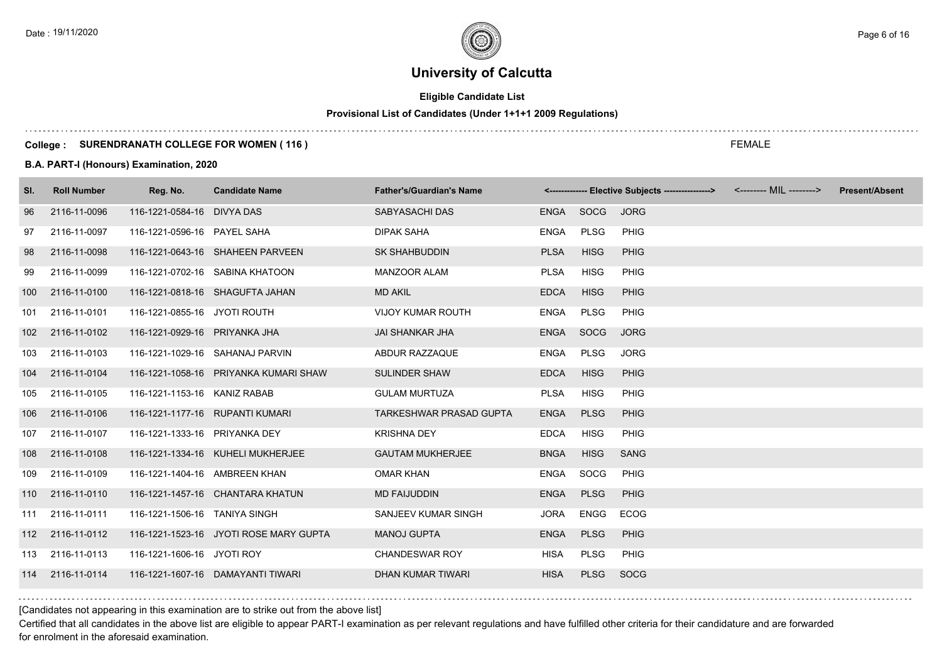# **Eligible Candidate List**

# **Provisional List of Candidates (Under 1+1+1 2009 Regulations)**

#### **College : SURENDRANATH COLLEGE FOR WOMEN ( 116 )**

#### **B.A. PART-I (Honours) Examination, 2020**

| SI.              | <b>Roll Number</b> | Reg. No.                        | <b>Candidate Name</b>                  | <b>Father's/Guardian's Name</b> |             |             | <------------- Elective Subjects ----------------> <-------- MIL --------> | <b>Present/Absent</b> |
|------------------|--------------------|---------------------------------|----------------------------------------|---------------------------------|-------------|-------------|----------------------------------------------------------------------------|-----------------------|
| 96               | 2116-11-0096       | 116-1221-0584-16 DIVYA DAS      |                                        | SABYASACHI DAS                  | ENGA SOCG   |             | <b>JORG</b>                                                                |                       |
| 97               | 2116-11-0097       | 116-1221-0596-16 PAYEL SAHA     |                                        | <b>DIPAK SAHA</b>               | ENGA        | <b>PLSG</b> | PHIG                                                                       |                       |
| 98               | 2116-11-0098       |                                 | 116-1221-0643-16 SHAHEEN PARVEEN       | <b>SK SHAHBUDDIN</b>            | <b>PLSA</b> | <b>HISG</b> | PHIG                                                                       |                       |
| 99               | 2116-11-0099       |                                 | 116-1221-0702-16 SABINA KHATOON        | <b>MANZOOR ALAM</b>             | <b>PLSA</b> | <b>HISG</b> | <b>PHIG</b>                                                                |                       |
| 100              | 2116-11-0100       |                                 | 116-1221-0818-16 SHAGUFTA JAHAN        | <b>MD AKIL</b>                  | <b>EDCA</b> | <b>HISG</b> | PHIG                                                                       |                       |
|                  | 101 2116-11-0101   | 116-1221-0855-16 JYOTI ROUTH    |                                        | <b>VIJOY KUMAR ROUTH</b>        | ENGA        | <b>PLSG</b> | <b>PHIG</b>                                                                |                       |
| 102 <sub>1</sub> | 2116-11-0102       | 116-1221-0929-16 PRIYANKA JHA   |                                        | <b>JAI SHANKAR JHA</b>          | ENGA        | SOCG        | <b>JORG</b>                                                                |                       |
| 103              | 2116-11-0103       | 116-1221-1029-16 SAHANAJ PARVIN |                                        | ABDUR RAZZAQUE                  | ENGA        | <b>PLSG</b> | <b>JORG</b>                                                                |                       |
| 104              | 2116-11-0104       |                                 | 116-1221-1058-16 PRIYANKA KUMARI SHAW  | <b>SULINDER SHAW</b>            | <b>EDCA</b> | <b>HISG</b> | <b>PHIG</b>                                                                |                       |
| 105              | 2116-11-0105       | 116-1221-1153-16 KANIZ RABAB    |                                        | <b>GULAM MURTUZA</b>            | <b>PLSA</b> | <b>HISG</b> | PHIG                                                                       |                       |
| 106              | 2116-11-0106       | 116-1221-1177-16 RUPANTI KUMARI |                                        | TARKESHWAR PRASAD GUPTA         | <b>ENGA</b> | <b>PLSG</b> | PHIG                                                                       |                       |
| 107              | 2116-11-0107       | 116-1221-1333-16 PRIYANKA DEY   |                                        | <b>KRISHNA DEY</b>              | <b>EDCA</b> | <b>HISG</b> | <b>PHIG</b>                                                                |                       |
| 108              | 2116-11-0108       |                                 | 116-1221-1334-16 KUHELI MUKHERJEE      | <b>GAUTAM MUKHERJEE</b>         | <b>BNGA</b> | <b>HISG</b> | <b>SANG</b>                                                                |                       |
| 109              | 2116-11-0109       | 116-1221-1404-16 AMBREEN KHAN   |                                        | <b>OMAR KHAN</b>                | ENGA        | SOCG        | <b>PHIG</b>                                                                |                       |
|                  | 110 2116-11-0110   |                                 | 116-1221-1457-16 CHANTARA KHATUN       | <b>MD FAIJUDDIN</b>             | <b>ENGA</b> | <b>PLSG</b> | PHIG                                                                       |                       |
|                  | 111 2116-11-0111   | 116-1221-1506-16 TANIYA SINGH   |                                        | SANJEEV KUMAR SINGH             | JORA        | ENGG        | ECOG                                                                       |                       |
|                  | 112 2116-11-0112   |                                 | 116-1221-1523-16 JYOTI ROSE MARY GUPTA | <b>MANOJ GUPTA</b>              | <b>ENGA</b> | <b>PLSG</b> | PHIG                                                                       |                       |
|                  | 113 2116-11-0113   | 116-1221-1606-16 JYOTI ROY      |                                        | <b>CHANDESWAR ROY</b>           | <b>HISA</b> | <b>PLSG</b> | PHIG                                                                       |                       |
|                  | 114 2116-11-0114   |                                 | 116-1221-1607-16 DAMAYANTI TIWARI      | DHAN KUMAR TIWARI               | <b>HISA</b> | <b>PLSG</b> | SOCG                                                                       |                       |

[Candidates not appearing in this examination are to strike out from the above list]

Certified that all candidates in the above list are eligible to appear PART-I examination as per relevant regulations and have fulfilled other criteria for their candidature and are forwarded for enrolment in the aforesaid examination.

FEMALE

Date : 19/11/2020  $\rho_{\texttt{age 6 of 16}}$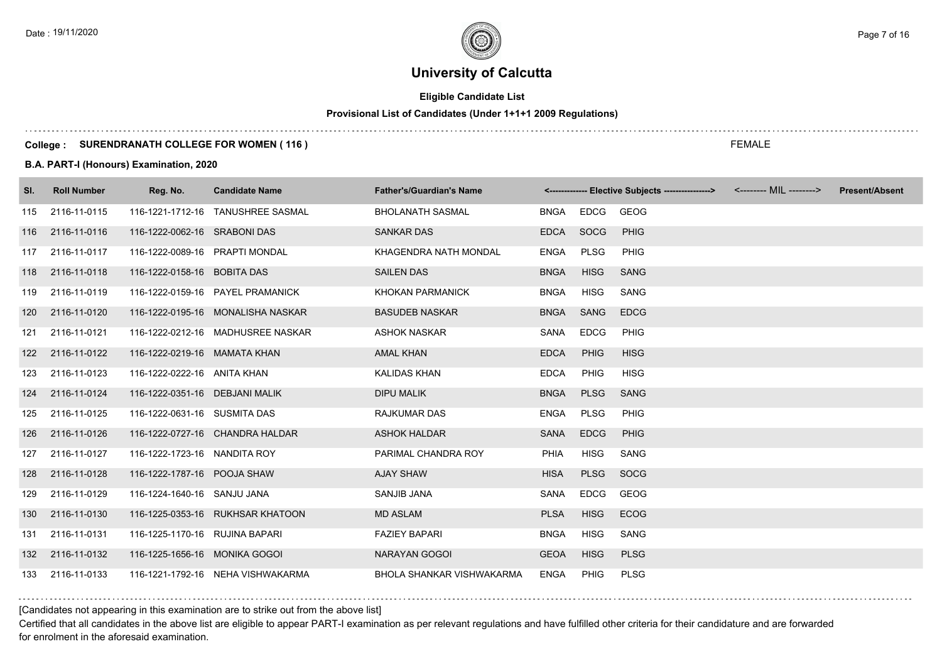# **Eligible Candidate List**

# **Provisional List of Candidates (Under 1+1+1 2009 Regulations)**

#### **College : SURENDRANATH COLLEGE FOR WOMEN ( 116 )**

**B.A. PART-I (Honours) Examination, 2020**

| SI. | <b>Roll Number</b> | Reg. No.                       | <b>Candidate Name</b>             | <b>Father's/Guardian's Name</b>  |             |             | <------------- Elective Subjects ----------------> <-------- MIL --------> |  | <b>Present/Absent</b> |
|-----|--------------------|--------------------------------|-----------------------------------|----------------------------------|-------------|-------------|----------------------------------------------------------------------------|--|-----------------------|
| 115 | 2116-11-0115       |                                | 116-1221-1712-16 TANUSHREE SASMAL | <b>BHOLANATH SASMAL</b>          | BNGA        | EDCG GEOG   |                                                                            |  |                       |
| 116 | 2116-11-0116       | 116-1222-0062-16 SRABONI DAS   |                                   | <b>SANKAR DAS</b>                | EDCA SOCG   |             | PHIG                                                                       |  |                       |
| 117 | 2116-11-0117       | 116-1222-0089-16 PRAPTI MONDAL |                                   | KHAGENDRA NATH MONDAL            | <b>ENGA</b> | PLSG        | PHIG                                                                       |  |                       |
| 118 | 2116-11-0118       | 116-1222-0158-16 BOBITA DAS    |                                   | <b>SAILEN DAS</b>                | <b>BNGA</b> | <b>HISG</b> | <b>SANG</b>                                                                |  |                       |
| 119 | 2116-11-0119       |                                | 116-1222-0159-16 PAYEL PRAMANICK  | <b>KHOKAN PARMANICK</b>          | <b>BNGA</b> | <b>HISG</b> | SANG                                                                       |  |                       |
| 120 | 2116-11-0120       |                                | 116-1222-0195-16 MONALISHA NASKAR | <b>BASUDEB NASKAR</b>            | <b>BNGA</b> | SANG        | <b>EDCG</b>                                                                |  |                       |
| 121 | 2116-11-0121       |                                | 116-1222-0212-16 MADHUSREE NASKAR | <b>ASHOK NASKAR</b>              | SANA        | <b>EDCG</b> | PHIG                                                                       |  |                       |
|     | 122 2116-11-0122   | 116-1222-0219-16 MAMATA KHAN   |                                   | AMAL KHAN                        | <b>EDCA</b> | <b>PHIG</b> | <b>HISG</b>                                                                |  |                       |
| 123 | 2116-11-0123       | 116-1222-0222-16 ANITA KHAN    |                                   | <b>KALIDAS KHAN</b>              | <b>EDCA</b> | PHIG        | <b>HISG</b>                                                                |  |                       |
| 124 | 2116-11-0124       | 116-1222-0351-16 DEBJANI MALIK |                                   | <b>DIPU MALIK</b>                | <b>BNGA</b> | <b>PLSG</b> | <b>SANG</b>                                                                |  |                       |
| 125 | 2116-11-0125       | 116-1222-0631-16 SUSMITA DAS   |                                   | <b>RAJKUMAR DAS</b>              | <b>ENGA</b> | PLSG        | PHIG                                                                       |  |                       |
| 126 | 2116-11-0126       |                                | 116-1222-0727-16 CHANDRA HALDAR   | <b>ASHOK HALDAR</b>              | SANA        | <b>EDCG</b> | <b>PHIG</b>                                                                |  |                       |
| 127 | 2116-11-0127       | 116-1222-1723-16 NANDITA ROY   |                                   | PARIMAL CHANDRA ROY              | <b>PHIA</b> | HISG        | SANG                                                                       |  |                       |
| 128 | 2116-11-0128       | 116-1222-1787-16 POOJA SHAW    |                                   | <b>AJAY SHAW</b>                 | <b>HISA</b> | <b>PLSG</b> | SOCG                                                                       |  |                       |
| 129 | 2116-11-0129       | 116-1224-1640-16 SANJU JANA    |                                   | SANJIB JANA                      | <b>SANA</b> | <b>EDCG</b> | GEOG                                                                       |  |                       |
|     | 130 2116-11-0130   |                                | 116-1225-0353-16 RUKHSAR KHATOON  | <b>MD ASLAM</b>                  | <b>PLSA</b> | <b>HISG</b> | <b>ECOG</b>                                                                |  |                       |
| 131 | 2116-11-0131       | 116-1225-1170-16 RUJINA BAPARI |                                   | <b>FAZIEY BAPARI</b>             | <b>BNGA</b> | HISG        | SANG                                                                       |  |                       |
| 132 | 2116-11-0132       | 116-1225-1656-16 MONIKA GOGOI  |                                   | <b>NARAYAN GOGOI</b>             | <b>GEOA</b> | <b>HISG</b> | <b>PLSG</b>                                                                |  |                       |
| 133 | 2116-11-0133       |                                | 116-1221-1792-16 NEHA VISHWAKARMA | <b>BHOLA SHANKAR VISHWAKARMA</b> | ENGA        | PHIG        | <b>PLSG</b>                                                                |  |                       |

#### [Candidates not appearing in this examination are to strike out from the above list]

Certified that all candidates in the above list are eligible to appear PART-I examination as per relevant regulations and have fulfilled other criteria for their candidature and are forwarded for enrolment in the aforesaid examination.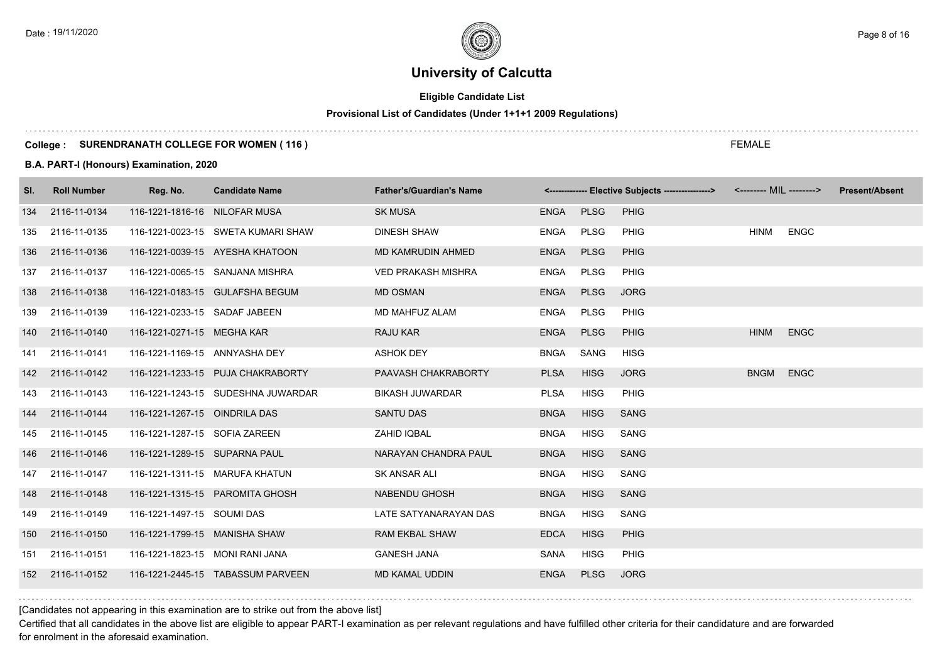# **Eligible Candidate List**

# **Provisional List of Candidates (Under 1+1+1 2009 Regulations)**

#### **College : SURENDRANATH COLLEGE FOR WOMEN ( 116 )**

#### **B.A. PART-I (Honours) Examination, 2020**

| SI. | <b>Roll Number</b> | Reg. No.                        | <b>Candidate Name</b>              | <b>Father's/Guardian's Name</b> |             |             | <------------- Elective Subjects ---------------> <-------- MIL --------> |             |             | <b>Present/Absent</b> |
|-----|--------------------|---------------------------------|------------------------------------|---------------------------------|-------------|-------------|---------------------------------------------------------------------------|-------------|-------------|-----------------------|
| 134 | 2116-11-0134       | 116-1221-1816-16 NILOFAR MUSA   |                                    | <b>SK MUSA</b>                  | ENGA PLSG   |             | <b>PHIG</b>                                                               |             |             |                       |
| 135 | 2116-11-0135       |                                 | 116-1221-0023-15 SWETA KUMARI SHAW | <b>DINESH SHAW</b>              | ENGA        | PLSG        | PHIG                                                                      | <b>HINM</b> | <b>ENGC</b> |                       |
| 136 | 2116-11-0136       |                                 | 116-1221-0039-15 AYESHA KHATOON    | MD KAMRUDIN AHMED               | <b>ENGA</b> | <b>PLSG</b> | <b>PHIG</b>                                                               |             |             |                       |
| 137 | 2116-11-0137       |                                 | 116-1221-0065-15 SANJANA MISHRA    | <b>VED PRAKASH MISHRA</b>       | ENGA        | <b>PLSG</b> | <b>PHIG</b>                                                               |             |             |                       |
| 138 | 2116-11-0138       |                                 | 116-1221-0183-15 GULAFSHA BEGUM    | <b>MD OSMAN</b>                 | ENGA        | <b>PLSG</b> | <b>JORG</b>                                                               |             |             |                       |
|     | 139 2116-11-0139   | 116-1221-0233-15 SADAF JABEEN   |                                    | MD MAHFUZ ALAM                  | ENGA        | <b>PLSG</b> | <b>PHIG</b>                                                               |             |             |                       |
|     | 140 2116-11-0140   | 116-1221-0271-15 MEGHA KAR      |                                    | RAJU KAR                        | <b>ENGA</b> | <b>PLSG</b> | <b>PHIG</b>                                                               | <b>HINM</b> | <b>ENGC</b> |                       |
|     | 141 2116-11-0141   | 116-1221-1169-15 ANNYASHA DEY   |                                    | <b>ASHOK DEY</b>                | BNGA        | SANG        | <b>HISG</b>                                                               |             |             |                       |
|     | 142 2116-11-0142   |                                 | 116-1221-1233-15 PUJA CHAKRABORTY  | PAAVASH CHAKRABORTY             | <b>PLSA</b> | <b>HISG</b> | <b>JORG</b>                                                               | BNGM ENGC   |             |                       |
| 143 | 2116-11-0143       |                                 | 116-1221-1243-15 SUDESHNA JUWARDAR | <b>BIKASH JUWARDAR</b>          | <b>PLSA</b> | <b>HISG</b> | PHIG                                                                      |             |             |                       |
|     | 144 2116-11-0144   | 116-1221-1267-15 OINDRILA DAS   |                                    | <b>SANTU DAS</b>                | <b>BNGA</b> | <b>HISG</b> | <b>SANG</b>                                                               |             |             |                       |
| 145 | 2116-11-0145       | 116-1221-1287-15 SOFIA ZAREEN   |                                    | ZAHID IQBAL                     | <b>BNGA</b> | <b>HISG</b> | SANG                                                                      |             |             |                       |
| 146 | 2116-11-0146       | 116-1221-1289-15 SUPARNA PAUL   |                                    | NARAYAN CHANDRA PAUL            | <b>BNGA</b> | <b>HISG</b> | <b>SANG</b>                                                               |             |             |                       |
|     | 147 2116-11-0147   | 116-1221-1311-15 MARUFA KHATUN  |                                    | SK ANSAR ALI                    | <b>BNGA</b> | <b>HISG</b> | SANG                                                                      |             |             |                       |
|     | 148 2116-11-0148   |                                 | 116-1221-1315-15 PAROMITA GHOSH    | NABENDU GHOSH                   | <b>BNGA</b> | <b>HISG</b> | <b>SANG</b>                                                               |             |             |                       |
| 149 | 2116-11-0149       | 116-1221-1497-15 SOUMI DAS      |                                    | LATE SATYANARAYAN DAS           | <b>BNGA</b> | <b>HISG</b> | SANG                                                                      |             |             |                       |
| 150 | 2116-11-0150       | 116-1221-1799-15 MANISHA SHAW   |                                    | <b>RAM EKBAL SHAW</b>           | <b>EDCA</b> | <b>HISG</b> | <b>PHIG</b>                                                               |             |             |                       |
| 151 | 2116-11-0151       | 116-1221-1823-15 MONI RANI JANA |                                    | <b>GANESH JANA</b>              | SANA        | <b>HISG</b> | <b>PHIG</b>                                                               |             |             |                       |
|     | 152 2116-11-0152   |                                 | 116-1221-2445-15 TABASSUM PARVEEN  | <b>MD KAMAL UDDIN</b>           | <b>ENGA</b> | <b>PLSG</b> | <b>JORG</b>                                                               |             |             |                       |

[Candidates not appearing in this examination are to strike out from the above list]

Certified that all candidates in the above list are eligible to appear PART-I examination as per relevant regulations and have fulfilled other criteria for their candidature and are forwarded for enrolment in the aforesaid examination.

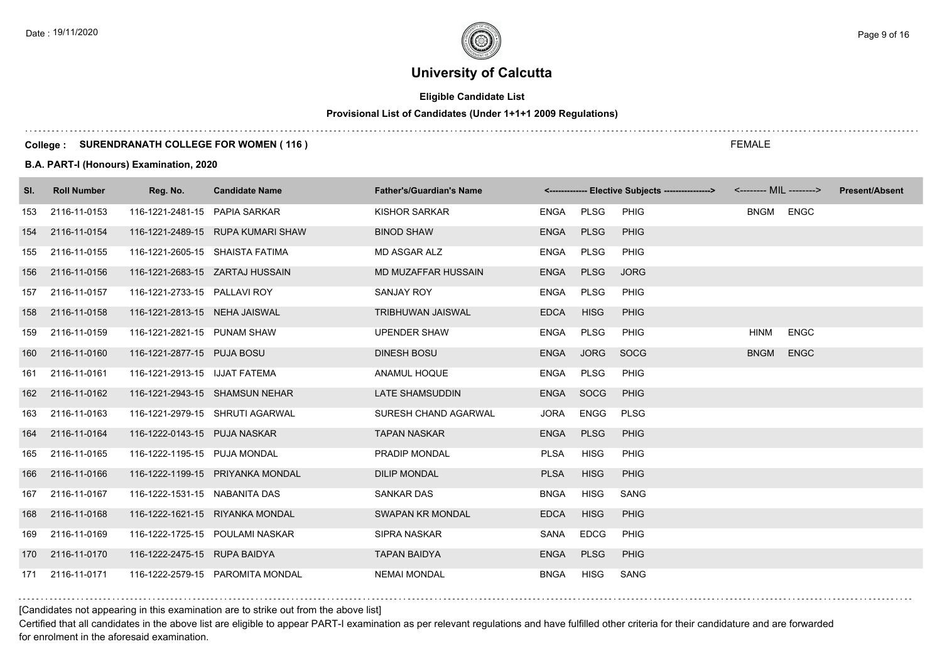# **Eligible Candidate List**

# **Provisional List of Candidates (Under 1+1+1 2009 Regulations)**

#### **College : SURENDRANATH COLLEGE FOR WOMEN ( 116 )**

#### **B.A. PART-I (Honours) Examination, 2020**

| SI. | <b>Roll Number</b> | Reg. No.                        | <b>Candidate Name</b>             | <b>Father's/Guardian's Name</b> |             |             | <-------------- Elective Subjects ----------------> |             |             | <b>Present/Absent</b> |
|-----|--------------------|---------------------------------|-----------------------------------|---------------------------------|-------------|-------------|-----------------------------------------------------|-------------|-------------|-----------------------|
| 153 | 2116-11-0153       | 116-1221-2481-15 PAPIA SARKAR   |                                   | <b>KISHOR SARKAR</b>            | ENGA        | <b>PLSG</b> | <b>PHIG</b>                                         | BNGM ENGC   |             |                       |
| 154 | 2116-11-0154       |                                 | 116-1221-2489-15 RUPA KUMARI SHAW | <b>BINOD SHAW</b>               | <b>ENGA</b> | <b>PLSG</b> | <b>PHIG</b>                                         |             |             |                       |
| 155 | 2116-11-0155       | 116-1221-2605-15 SHAISTA FATIMA |                                   | MD ASGAR ALZ                    | <b>ENGA</b> | PLSG        | <b>PHIG</b>                                         |             |             |                       |
| 156 | 2116-11-0156       | 116-1221-2683-15 ZARTAJ HUSSAIN |                                   | MD MUZAFFAR HUSSAIN             | <b>ENGA</b> | <b>PLSG</b> | <b>JORG</b>                                         |             |             |                       |
| 157 | 2116-11-0157       | 116-1221-2733-15 PALLAVI ROY    |                                   | <b>SANJAY ROY</b>               | <b>ENGA</b> | <b>PLSG</b> | <b>PHIG</b>                                         |             |             |                       |
| 158 | 2116-11-0158       | 116-1221-2813-15 NEHA JAISWAL   |                                   | <b>TRIBHUWAN JAISWAL</b>        | <b>EDCA</b> | <b>HISG</b> | <b>PHIG</b>                                         |             |             |                       |
| 159 | 2116-11-0159       | 116-1221-2821-15 PUNAM SHAW     |                                   | <b>UPENDER SHAW</b>             | <b>ENGA</b> | PLSG        | PHIG                                                | <b>HINM</b> | <b>ENGC</b> |                       |
|     | 160 2116-11-0160   | 116-1221-2877-15 PUJA BOSU      |                                   | <b>DINESH BOSU</b>              | <b>ENGA</b> | <b>JORG</b> | <b>SOCG</b>                                         | <b>BNGM</b> | <b>ENGC</b> |                       |
| 161 | 2116-11-0161       | 116-1221-2913-15 IJJAT FATEMA   |                                   | ANAMUL HOQUE                    | <b>ENGA</b> | <b>PLSG</b> | PHIG                                                |             |             |                       |
|     | 162 2116-11-0162   |                                 | 116-1221-2943-15 SHAMSUN NEHAR    | LATE SHAMSUDDIN                 | <b>ENGA</b> | SOCG        | <b>PHIG</b>                                         |             |             |                       |
| 163 | 2116-11-0163       |                                 | 116-1221-2979-15 SHRUTI AGARWAL   | SURESH CHAND AGARWAL            | <b>JORA</b> | ENGG        | <b>PLSG</b>                                         |             |             |                       |
| 164 | 2116-11-0164       | 116-1222-0143-15 PUJA NASKAR    |                                   | <b>TAPAN NASKAR</b>             | <b>ENGA</b> | <b>PLSG</b> | <b>PHIG</b>                                         |             |             |                       |
| 165 | 2116-11-0165       | 116-1222-1195-15 PUJA MONDAL    |                                   | PRADIP MONDAL                   | <b>PLSA</b> | <b>HISG</b> | <b>PHIG</b>                                         |             |             |                       |
| 166 | 2116-11-0166       |                                 | 116-1222-1199-15 PRIYANKA MONDAL  | <b>DILIP MONDAL</b>             | <b>PLSA</b> | <b>HISG</b> | <b>PHIG</b>                                         |             |             |                       |
| 167 | 2116-11-0167       | 116-1222-1531-15 NABANITA DAS   |                                   | <b>SANKAR DAS</b>               | <b>BNGA</b> | HISG        | <b>SANG</b>                                         |             |             |                       |
|     | 168 2116-11-0168   |                                 | 116-1222-1621-15 RIYANKA MONDAL   | SWAPAN KR MONDAL                | <b>EDCA</b> | <b>HISG</b> | <b>PHIG</b>                                         |             |             |                       |
| 169 | 2116-11-0169       |                                 | 116-1222-1725-15 POULAMI NASKAR   | <b>SIPRA NASKAR</b>             | SANA        | <b>EDCG</b> | PHIG                                                |             |             |                       |
|     | 170 2116-11-0170   | 116-1222-2475-15 RUPA BAIDYA    |                                   | <b>TAPAN BAIDYA</b>             | <b>ENGA</b> | <b>PLSG</b> | <b>PHIG</b>                                         |             |             |                       |
|     | 171 2116-11-0171   |                                 | 116-1222-2579-15 PAROMITA MONDAL  | <b>NEMAI MONDAL</b>             | <b>BNGA</b> | <b>HISG</b> | SANG                                                |             |             |                       |

#### [Candidates not appearing in this examination are to strike out from the above list]

Certified that all candidates in the above list are eligible to appear PART-I examination as per relevant regulations and have fulfilled other criteria for their candidature and are forwarded for enrolment in the aforesaid examination.

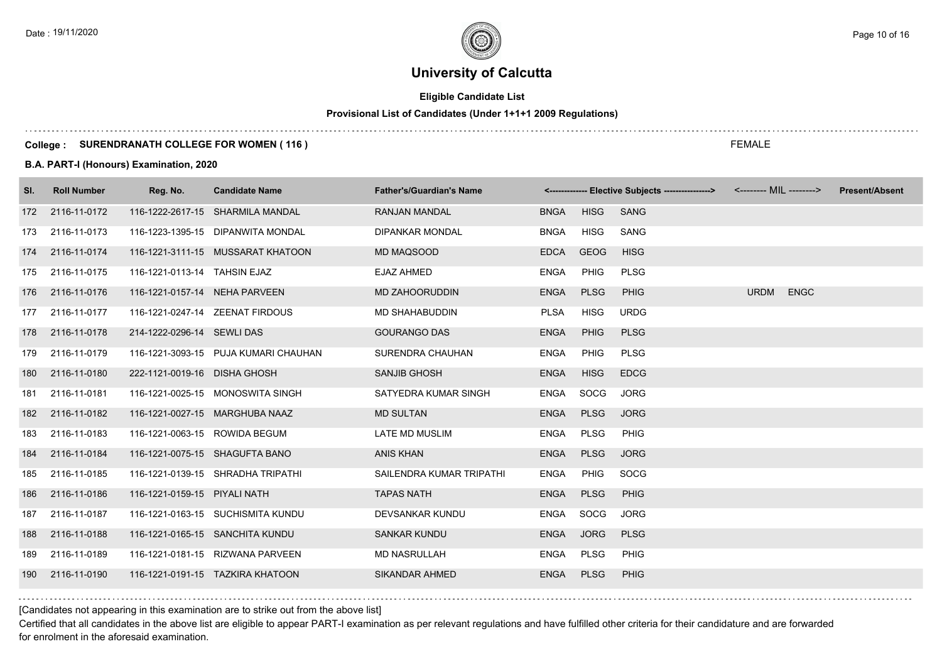# **Eligible Candidate List**

# **Provisional List of Candidates (Under 1+1+1 2009 Regulations)**

#### **College : SURENDRANATH COLLEGE FOR WOMEN ( 116 )**

#### **B.A. PART-I (Honours) Examination, 2020**

| SI. | <b>Roll Number</b> | Reg. No.                       | <b>Candidate Name</b>                | <b>Father's/Guardian's Name</b> |             |             | <-------------- Elective Subjects ----------------> | <-------- MIL --------> |             | <b>Present/Absent</b> |
|-----|--------------------|--------------------------------|--------------------------------------|---------------------------------|-------------|-------------|-----------------------------------------------------|-------------------------|-------------|-----------------------|
|     | 172 2116-11-0172   |                                | 116-1222-2617-15 SHARMILA MANDAL     | <b>RANJAN MANDAL</b>            | <b>BNGA</b> | <b>HISG</b> | <b>SANG</b>                                         |                         |             |                       |
| 173 | 2116-11-0173       |                                | 116-1223-1395-15 DIPANWITA MONDAL    | <b>DIPANKAR MONDAL</b>          | <b>BNGA</b> | HISG        | SANG                                                |                         |             |                       |
| 174 | 2116-11-0174       |                                | 116-1221-3111-15 MUSSARAT KHATOON    | MD MAQSOOD                      | <b>EDCA</b> | <b>GEOG</b> | <b>HISG</b>                                         |                         |             |                       |
|     | 175 2116-11-0175   | 116-1221-0113-14 TAHSIN EJAZ   |                                      | <b>EJAZ AHMED</b>               | <b>ENGA</b> | <b>PHIG</b> | <b>PLSG</b>                                         |                         |             |                       |
|     | 176 2116-11-0176   | 116-1221-0157-14 NEHA PARVEEN  |                                      | <b>MD ZAHOORUDDIN</b>           | <b>ENGA</b> | <b>PLSG</b> | <b>PHIG</b>                                         | <b>URDM</b>             | <b>ENGC</b> |                       |
|     | 177 2116-11-0177   |                                | 116-1221-0247-14 ZEENAT FIRDOUS      | <b>MD SHAHABUDDIN</b>           | <b>PLSA</b> | <b>HISG</b> | <b>URDG</b>                                         |                         |             |                       |
|     | 178 2116-11-0178   | 214-1222-0296-14 SEWLI DAS     |                                      | <b>GOURANGO DAS</b>             | <b>ENGA</b> | <b>PHIG</b> | <b>PLSG</b>                                         |                         |             |                       |
|     | 179 2116-11-0179   |                                | 116-1221-3093-15 PUJA KUMARI CHAUHAN | SURENDRA CHAUHAN                | <b>ENGA</b> | PHIG        | <b>PLSG</b>                                         |                         |             |                       |
|     | 180 2116-11-0180   | 222-1121-0019-16 DISHA GHOSH   |                                      | <b>SANJIB GHOSH</b>             | <b>ENGA</b> | <b>HISG</b> | <b>EDCG</b>                                         |                         |             |                       |
| 181 | 2116-11-0181       |                                | 116-1221-0025-15 MONOSWITA SINGH     | SATYEDRA KUMAR SINGH            | ENGA        | SOCG        | <b>JORG</b>                                         |                         |             |                       |
| 182 | 2116-11-0182       |                                | 116-1221-0027-15 MARGHUBA NAAZ       | <b>MD SULTAN</b>                | <b>ENGA</b> | <b>PLSG</b> | <b>JORG</b>                                         |                         |             |                       |
| 183 | 2116-11-0183       | 116-1221-0063-15 ROWIDA BEGUM  |                                      | LATE MD MUSLIM                  | <b>ENGA</b> | <b>PLSG</b> | <b>PHIG</b>                                         |                         |             |                       |
| 184 | 2116-11-0184       | 116-1221-0075-15 SHAGUFTA BANO |                                      | <b>ANIS KHAN</b>                | <b>ENGA</b> | <b>PLSG</b> | <b>JORG</b>                                         |                         |             |                       |
| 185 | 2116-11-0185       |                                | 116-1221-0139-15 SHRADHA TRIPATHI    | SAILENDRA KUMAR TRIPATHI        | ENGA        | <b>PHIG</b> | <b>SOCG</b>                                         |                         |             |                       |
| 186 | 2116-11-0186       | 116-1221-0159-15 PIYALI NATH   |                                      | <b>TAPAS NATH</b>               | <b>ENGA</b> | <b>PLSG</b> | <b>PHIG</b>                                         |                         |             |                       |
| 187 | 2116-11-0187       |                                | 116-1221-0163-15 SUCHISMITA KUNDU    | DEVSANKAR KUNDU                 | ENGA        | SOCG        | <b>JORG</b>                                         |                         |             |                       |
| 188 | 2116-11-0188       |                                | 116-1221-0165-15 SANCHITA KUNDU      | <b>SANKAR KUNDU</b>             | <b>ENGA</b> | <b>JORG</b> | <b>PLSG</b>                                         |                         |             |                       |
| 189 | 2116-11-0189       |                                | 116-1221-0181-15 RIZWANA PARVEEN     | <b>MD NASRULLAH</b>             | ENGA        | PLSG        | PHIG                                                |                         |             |                       |
| 190 | 2116-11-0190       |                                | 116-1221-0191-15 TAZKIRA KHATOON     | <b>SIKANDAR AHMED</b>           | <b>ENGA</b> | <b>PLSG</b> | <b>PHIG</b>                                         |                         |             |                       |

[Candidates not appearing in this examination are to strike out from the above list]

Certified that all candidates in the above list are eligible to appear PART-I examination as per relevant regulations and have fulfilled other criteria for their candidature and are forwarded for enrolment in the aforesaid examination.

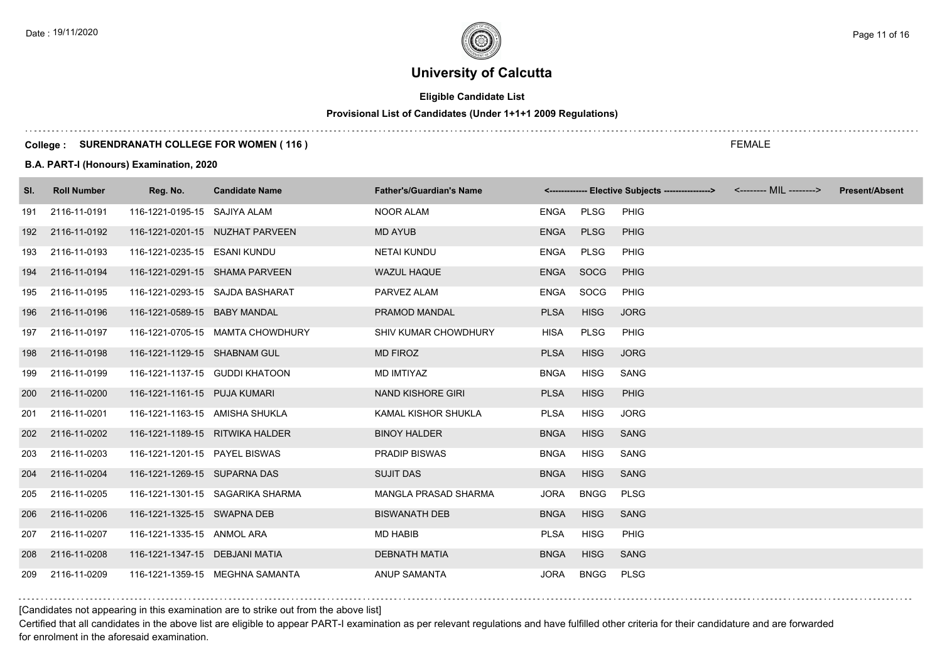# **Eligible Candidate List**

# **Provisional List of Candidates (Under 1+1+1 2009 Regulations)**

#### **College : SURENDRANATH COLLEGE FOR WOMEN ( 116 )**

#### **B.A. PART-I (Honours) Examination, 2020**

| SI. | <b>Roll Number</b> | Reg. No.                        | <b>Candidate Name</b>            | <b>Father's/Guardian's Name</b> |             |             | <-------------- Elective Subjects ----------------> | <-------- MIL --------> | <b>Present/Absent</b> |
|-----|--------------------|---------------------------------|----------------------------------|---------------------------------|-------------|-------------|-----------------------------------------------------|-------------------------|-----------------------|
| 191 | 2116-11-0191       | 116-1221-0195-15 SAJIYA ALAM    |                                  | NOOR ALAM                       | ENGA PLSG   |             | PHIG                                                |                         |                       |
| 192 | 2116-11-0192       |                                 | 116-1221-0201-15 NUZHAT PARVEEN  | MD AYUB                         | <b>ENGA</b> | <b>PLSG</b> | <b>PHIG</b>                                         |                         |                       |
| 193 | 2116-11-0193       | 116-1221-0235-15 ESANI KUNDU    |                                  | <b>NETAI KUNDU</b>              | ENGA        | PLSG        | <b>PHIG</b>                                         |                         |                       |
| 194 | 2116-11-0194       | 116-1221-0291-15 SHAMA PARVEEN  |                                  | <b>WAZUL HAQUE</b>              | ENGA        | SOCG        | <b>PHIG</b>                                         |                         |                       |
| 195 | 2116-11-0195       |                                 | 116-1221-0293-15 SAJDA BASHARAT  | PARVEZ ALAM                     | ENGA        | SOCG        | <b>PHIG</b>                                         |                         |                       |
| 196 | 2116-11-0196       | 116-1221-0589-15 BABY MANDAL    |                                  | PRAMOD MANDAL                   | <b>PLSA</b> | <b>HISG</b> | <b>JORG</b>                                         |                         |                       |
| 197 | 2116-11-0197       |                                 | 116-1221-0705-15 MAMTA CHOWDHURY | SHIV KUMAR CHOWDHURY            | HISA        | <b>PLSG</b> | <b>PHIG</b>                                         |                         |                       |
|     | 198 2116-11-0198   | 116-1221-1129-15 SHABNAM GUL    |                                  | <b>MD FIROZ</b>                 | <b>PLSA</b> | <b>HISG</b> | <b>JORG</b>                                         |                         |                       |
| 199 | 2116-11-0199       | 116-1221-1137-15 GUDDI KHATOON  |                                  | MD IMTIYAZ                      | <b>BNGA</b> | HISG        | <b>SANG</b>                                         |                         |                       |
|     | 200 2116-11-0200   | 116-1221-1161-15 PUJA KUMARI    |                                  | NAND KISHORE GIRI               | <b>PLSA</b> | <b>HISG</b> | <b>PHIG</b>                                         |                         |                       |
| 201 | 2116-11-0201       | 116-1221-1163-15 AMISHA SHUKLA  |                                  | KAMAL KISHOR SHUKLA             | <b>PLSA</b> | <b>HISG</b> | <b>JORG</b>                                         |                         |                       |
| 202 | 2116-11-0202       | 116-1221-1189-15 RITWIKA HALDER |                                  | <b>BINOY HALDER</b>             | <b>BNGA</b> | <b>HISG</b> | <b>SANG</b>                                         |                         |                       |
| 203 | 2116-11-0203       | 116-1221-1201-15 PAYEL BISWAS   |                                  | <b>PRADIP BISWAS</b>            | <b>BNGA</b> | <b>HISG</b> | SANG                                                |                         |                       |
| 204 | 2116-11-0204       | 116-1221-1269-15 SUPARNA DAS    |                                  | <b>SUJIT DAS</b>                | <b>BNGA</b> | <b>HISG</b> | <b>SANG</b>                                         |                         |                       |
|     | 205 2116-11-0205   |                                 | 116-1221-1301-15 SAGARIKA SHARMA | MANGLA PRASAD SHARMA            | <b>JORA</b> | <b>BNGG</b> | <b>PLSG</b>                                         |                         |                       |
| 206 | 2116-11-0206       | 116-1221-1325-15 SWAPNA DEB     |                                  | <b>BISWANATH DEB</b>            | <b>BNGA</b> | <b>HISG</b> | <b>SANG</b>                                         |                         |                       |
|     | 207 2116-11-0207   | 116-1221-1335-15 ANMOL ARA      |                                  | <b>MD HABIB</b>                 | <b>PLSA</b> | <b>HISG</b> | PHIG                                                |                         |                       |
| 208 | 2116-11-0208       | 116-1221-1347-15 DEBJANI MATIA  |                                  | <b>DEBNATH MATIA</b>            | <b>BNGA</b> | <b>HISG</b> | <b>SANG</b>                                         |                         |                       |
|     | 209 2116-11-0209   |                                 | 116-1221-1359-15 MEGHNA SAMANTA  | ANUP SAMANTA                    | <b>JORA</b> | <b>BNGG</b> | <b>PLSG</b>                                         |                         |                       |

[Candidates not appearing in this examination are to strike out from the above list]

Certified that all candidates in the above list are eligible to appear PART-I examination as per relevant regulations and have fulfilled other criteria for their candidature and are forwarded for enrolment in the aforesaid examination.

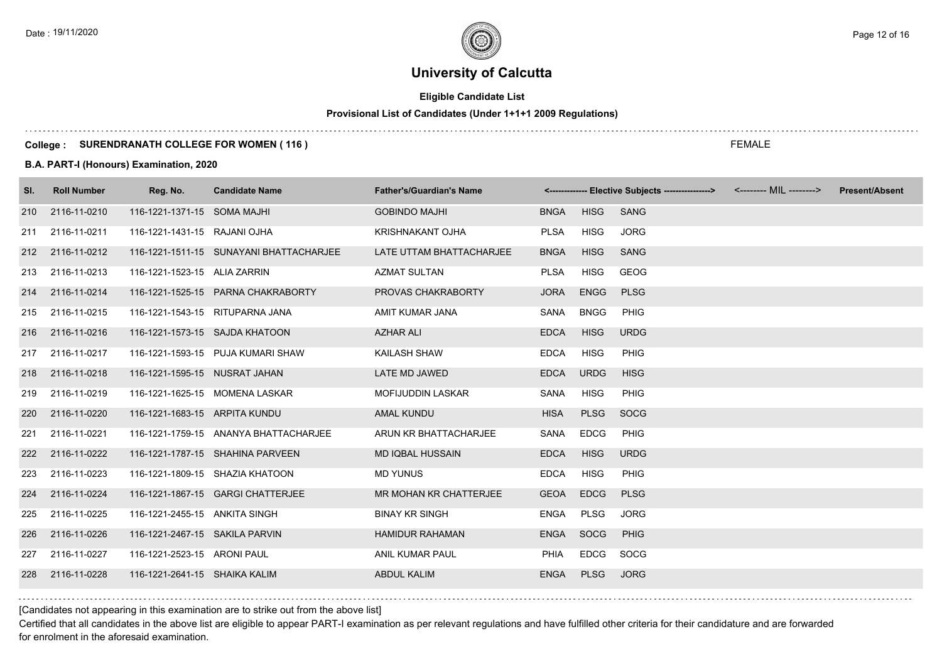# **Eligible Candidate List**

# **Provisional List of Candidates (Under 1+1+1 2009 Regulations)**

#### **College : SURENDRANATH COLLEGE FOR WOMEN ( 116 )**

#### **B.A. PART-I (Honours) Examination, 2020**

| SI. | <b>Roll Number</b> | Reg. No.                        | <b>Candidate Name</b>                   | <b>Father's/Guardian's Name</b> |             |             | <-------------- Elective Subjects ----------------> <-------- MIL --------> | <b>Present/Absent</b> |
|-----|--------------------|---------------------------------|-----------------------------------------|---------------------------------|-------------|-------------|-----------------------------------------------------------------------------|-----------------------|
| 210 | 2116-11-0210       | 116-1221-1371-15 SOMA MAJHI     |                                         | <b>GOBINDO MAJHI</b>            | <b>BNGA</b> | <b>HISG</b> | <b>SANG</b>                                                                 |                       |
| 211 | 2116-11-0211       | 116-1221-1431-15 RAJANI OJHA    |                                         | KRISHNAKANT OJHA                | <b>PLSA</b> | <b>HISG</b> | <b>JORG</b>                                                                 |                       |
| 212 | 2116-11-0212       |                                 | 116-1221-1511-15 SUNAYANI BHATTACHARJEE | LATE UTTAM BHATTACHARJEE        | <b>BNGA</b> | <b>HISG</b> | <b>SANG</b>                                                                 |                       |
| 213 | 2116-11-0213       | 116-1221-1523-15 ALIA ZARRIN    |                                         | <b>AZMAT SULTAN</b>             | <b>PLSA</b> | <b>HISG</b> | <b>GEOG</b>                                                                 |                       |
|     | 214 2116-11-0214   |                                 | 116-1221-1525-15 PARNA CHAKRABORTY      | PROVAS CHAKRABORTY              | <b>JORA</b> | <b>ENGG</b> | <b>PLSG</b>                                                                 |                       |
| 215 | 2116-11-0215       | 116-1221-1543-15 RITUPARNA JANA |                                         | AMIT KUMAR JANA                 | SANA        | <b>BNGG</b> | <b>PHIG</b>                                                                 |                       |
|     | 216 2116-11-0216   | 116-1221-1573-15 SAJDA KHATOON  |                                         | <b>AZHAR ALI</b>                | <b>EDCA</b> | <b>HISG</b> | <b>URDG</b>                                                                 |                       |
|     | 217 2116-11-0217   |                                 | 116-1221-1593-15 PUJA KUMARI SHAW       | KAILASH SHAW                    | <b>EDCA</b> | <b>HISG</b> | PHIG                                                                        |                       |
| 218 | 2116-11-0218       | 116-1221-1595-15 NUSRAT JAHAN   |                                         | LATE MD JAWED                   | <b>EDCA</b> | <b>URDG</b> | <b>HISG</b>                                                                 |                       |
| 219 | 2116-11-0219       |                                 | 116-1221-1625-15 MOMENA LASKAR          | <b>MOFIJUDDIN LASKAR</b>        | SANA        | <b>HISG</b> | <b>PHIG</b>                                                                 |                       |
| 220 | 2116-11-0220       | 116-1221-1683-15 ARPITA KUNDU   |                                         | <b>AMAL KUNDU</b>               | <b>HISA</b> | <b>PLSG</b> | SOCG                                                                        |                       |
| 221 | 2116-11-0221       |                                 | 116-1221-1759-15 ANANYA BHATTACHARJEE   | ARUN KR BHATTACHARJEE           | SANA        | <b>EDCG</b> | <b>PHIG</b>                                                                 |                       |
| 222 | 2116-11-0222       |                                 | 116-1221-1787-15 SHAHINA PARVEEN        | <b>MD IQBAL HUSSAIN</b>         | <b>EDCA</b> | <b>HISG</b> | <b>URDG</b>                                                                 |                       |
| 223 | 2116-11-0223       |                                 | 116-1221-1809-15 SHAZIA KHATOON         | <b>MD YUNUS</b>                 | <b>EDCA</b> | <b>HISG</b> | PHIG                                                                        |                       |
| 224 | 2116-11-0224       |                                 | 116-1221-1867-15 GARGI CHATTERJEE       | MR MOHAN KR CHATTERJEE          | <b>GEOA</b> | <b>EDCG</b> | <b>PLSG</b>                                                                 |                       |
| 225 | 2116-11-0225       | 116-1221-2455-15 ANKITA SINGH   |                                         | <b>BINAY KR SINGH</b>           | ENGA        | <b>PLSG</b> | <b>JORG</b>                                                                 |                       |
| 226 | 2116-11-0226       | 116-1221-2467-15 SAKILA PARVIN  |                                         | <b>HAMIDUR RAHAMAN</b>          | <b>ENGA</b> | SOCG        | PHIG                                                                        |                       |
| 227 | 2116-11-0227       | 116-1221-2523-15 ARONI PAUL     |                                         | ANIL KUMAR PAUL                 | PHIA        | EDCG        | SOCG                                                                        |                       |
| 228 | 2116-11-0228       | 116-1221-2641-15 SHAIKA KALIM   |                                         | <b>ABDUL KALIM</b>              | <b>ENGA</b> | <b>PLSG</b> | <b>JORG</b>                                                                 |                       |

FEMALE

[Candidates not appearing in this examination are to strike out from the above list]

Certified that all candidates in the above list are eligible to appear PART-I examination as per relevant regulations and have fulfilled other criteria for their candidature and are forwarded for enrolment in the aforesaid examination.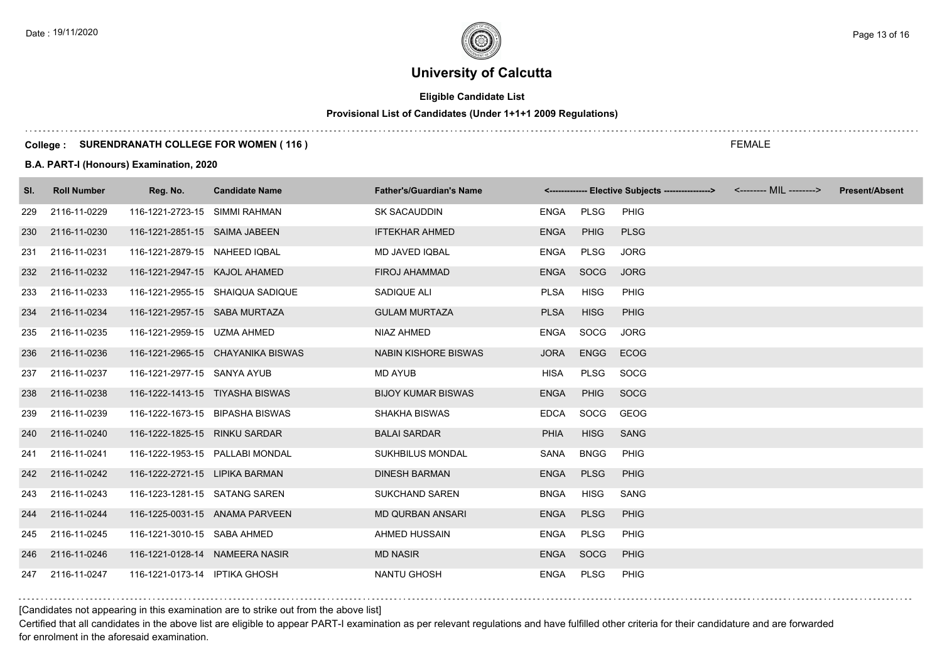# **Eligible Candidate List**

# **Provisional List of Candidates (Under 1+1+1 2009 Regulations)**

#### **College : SURENDRANATH COLLEGE FOR WOMEN ( 116 )**

#### **B.A. PART-I (Honours) Examination, 2020**

| SI. | <b>Roll Number</b> | Reg. No.                        | <b>Candidate Name</b>             | <b>Father's/Guardian's Name</b> |             |             | <------------- Elective Subjects ----------------> |  | <b>Present/Absent</b> |
|-----|--------------------|---------------------------------|-----------------------------------|---------------------------------|-------------|-------------|----------------------------------------------------|--|-----------------------|
| 229 | 2116-11-0229       | 116-1221-2723-15 SIMMI RAHMAN   |                                   | SK SACAUDDIN                    | ENGA        | PLSG        | <b>PHIG</b>                                        |  |                       |
| 230 | 2116-11-0230       | 116-1221-2851-15 SAIMA JABEEN   |                                   | <b>IFTEKHAR AHMED</b>           | <b>ENGA</b> | PHIG        | <b>PLSG</b>                                        |  |                       |
| 231 | 2116-11-0231       | 116-1221-2879-15 NAHEED IQBAL   |                                   | MD JAVED IQBAL                  | <b>ENGA</b> | PLSG        | <b>JORG</b>                                        |  |                       |
| 232 | 2116-11-0232       | 116-1221-2947-15 KAJOL AHAMED   |                                   | <b>FIROJ AHAMMAD</b>            | <b>ENGA</b> | <b>SOCG</b> | <b>JORG</b>                                        |  |                       |
| 233 | 2116-11-0233       |                                 | 116-1221-2955-15 SHAIQUA SADIQUE  | SADIQUE ALI                     | <b>PLSA</b> | <b>HISG</b> | <b>PHIG</b>                                        |  |                       |
| 234 | 2116-11-0234       | 116-1221-2957-15 SABA MURTAZA   |                                   | <b>GULAM MURTAZA</b>            | <b>PLSA</b> | <b>HISG</b> | <b>PHIG</b>                                        |  |                       |
| 235 | 2116-11-0235       | 116-1221-2959-15 UZMA AHMED     |                                   | NIAZ AHMED                      | <b>ENGA</b> | SOCG        | <b>JORG</b>                                        |  |                       |
| 236 | 2116-11-0236       |                                 | 116-1221-2965-15 CHAYANIKA BISWAS | <b>NABIN KISHORE BISWAS</b>     | <b>JORA</b> | <b>ENGG</b> | <b>ECOG</b>                                        |  |                       |
| 237 | 2116-11-0237       | 116-1221-2977-15 SANYA AYUB     |                                   | MD AYUB                         | <b>HISA</b> | <b>PLSG</b> | SOCG                                               |  |                       |
| 238 | 2116-11-0238       | 116-1222-1413-15 TIYASHA BISWAS |                                   | <b>BIJOY KUMAR BISWAS</b>       | <b>ENGA</b> | <b>PHIG</b> | SOCG                                               |  |                       |
| 239 | 2116-11-0239       | 116-1222-1673-15 BIPASHA BISWAS |                                   | <b>SHAKHA BISWAS</b>            | <b>EDCA</b> | <b>SOCG</b> | GEOG                                               |  |                       |
| 240 | 2116-11-0240       | 116-1222-1825-15 RINKU SARDAR   |                                   | <b>BALAI SARDAR</b>             | <b>PHIA</b> | <b>HISG</b> | <b>SANG</b>                                        |  |                       |
| 241 | 2116-11-0241       | 116-1222-1953-15 PALLABI MONDAL |                                   | <b>SUKHBILUS MONDAL</b>         | SANA        | <b>BNGG</b> | <b>PHIG</b>                                        |  |                       |
| 242 | 2116-11-0242       | 116-1222-2721-15 LIPIKA BARMAN  |                                   | <b>DINESH BARMAN</b>            | <b>ENGA</b> | <b>PLSG</b> | <b>PHIG</b>                                        |  |                       |
| 243 | 2116-11-0243       | 116-1223-1281-15 SATANG SAREN   |                                   | <b>SUKCHAND SAREN</b>           | <b>BNGA</b> | <b>HISG</b> | SANG                                               |  |                       |
| 244 | 2116-11-0244       | 116-1225-0031-15 ANAMA PARVEEN  |                                   | <b>MD QURBAN ANSARI</b>         | <b>ENGA</b> | <b>PLSG</b> | <b>PHIG</b>                                        |  |                       |
| 245 | 2116-11-0245       | 116-1221-3010-15 SABA AHMED     |                                   | AHMED HUSSAIN                   | ENGA        | PLSG        | <b>PHIG</b>                                        |  |                       |
| 246 | 2116-11-0246       | 116-1221-0128-14 NAMEERA NASIR  |                                   | <b>MD NASIR</b>                 | <b>ENGA</b> | <b>SOCG</b> | <b>PHIG</b>                                        |  |                       |
| 247 | 2116-11-0247       | 116-1221-0173-14 IPTIKA GHOSH   |                                   | <b>NANTU GHOSH</b>              | <b>ENGA</b> | PLSG        | <b>PHIG</b>                                        |  |                       |

[Candidates not appearing in this examination are to strike out from the above list]

Certified that all candidates in the above list are eligible to appear PART-I examination as per relevant regulations and have fulfilled other criteria for their candidature and are forwarded for enrolment in the aforesaid examination.

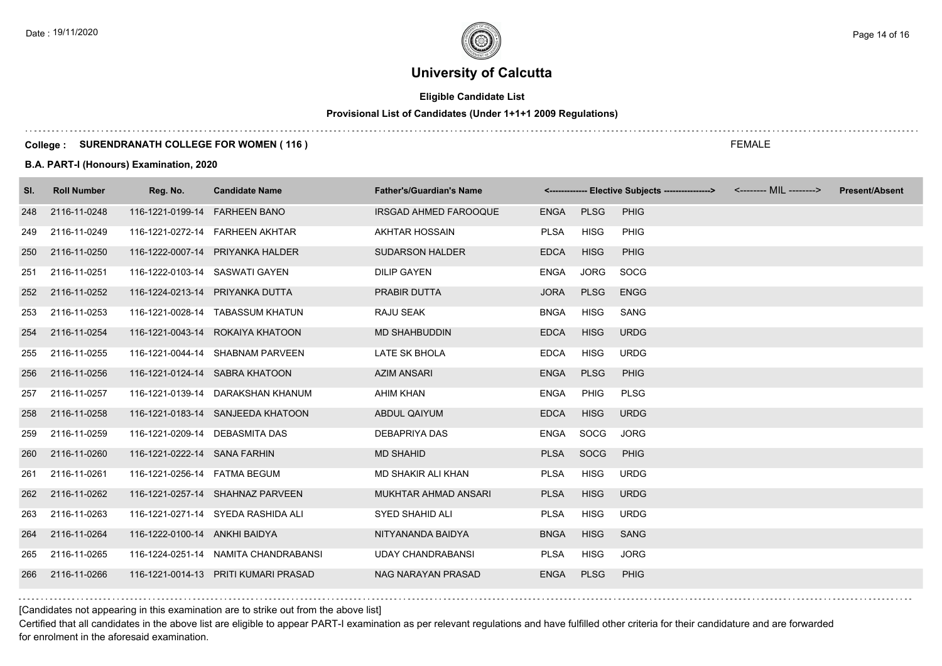# **Eligible Candidate List**

# **Provisional List of Candidates (Under 1+1+1 2009 Regulations)**

#### **College : SURENDRANATH COLLEGE FOR WOMEN ( 116 )**

#### **B.A. PART-I (Honours) Examination, 2020**

| SI. | <b>Roll Number</b> | Reg. No.                        | <b>Candidate Name</b>                | <b>Father's/Guardian's Name</b> |             |             | <------------- Elective Subjects ---------------> <-------- MIL --------> | <b>Present/Absent</b> |
|-----|--------------------|---------------------------------|--------------------------------------|---------------------------------|-------------|-------------|---------------------------------------------------------------------------|-----------------------|
| 248 | 2116-11-0248       | 116-1221-0199-14 FARHEEN BANO   |                                      | IRSGAD AHMED FAROOQUE           | ENGA PLSG   |             | PHIG                                                                      |                       |
| 249 | 2116-11-0249       |                                 | 116-1221-0272-14 FARHEEN AKHTAR      | AKHTAR HOSSAIN                  | <b>PLSA</b> | <b>HISG</b> | PHIG                                                                      |                       |
| 250 | 2116-11-0250       |                                 | 116-1222-0007-14 PRIYANKA HALDER     | <b>SUDARSON HALDER</b>          | <b>EDCA</b> | <b>HISG</b> | <b>PHIG</b>                                                               |                       |
| 251 | 2116-11-0251       | 116-1222-0103-14 SASWATI GAYEN  |                                      | <b>DILIP GAYEN</b>              | <b>ENGA</b> | <b>JORG</b> | <b>SOCG</b>                                                               |                       |
|     | 252 2116-11-0252   | 116-1224-0213-14 PRIYANKA DUTTA |                                      | PRABIR DUTTA                    | <b>JORA</b> | <b>PLSG</b> | <b>ENGG</b>                                                               |                       |
| 253 | 2116-11-0253       |                                 | 116-1221-0028-14 TABASSUM KHATUN     | RAJU SEAK                       | <b>BNGA</b> | <b>HISG</b> | SANG                                                                      |                       |
|     | 254 2116-11-0254   |                                 | 116-1221-0043-14 ROKAIYA KHATOON     | <b>MD SHAHBUDDIN</b>            | <b>EDCA</b> | <b>HISG</b> | <b>URDG</b>                                                               |                       |
| 255 | 2116-11-0255       |                                 | 116-1221-0044-14 SHABNAM PARVEEN     | LATE SK BHOLA                   | <b>EDCA</b> | <b>HISG</b> | <b>URDG</b>                                                               |                       |
| 256 | 2116-11-0256       |                                 | 116-1221-0124-14 SABRA KHATOON       | <b>AZIM ANSARI</b>              | ENGA        | <b>PLSG</b> | PHIG                                                                      |                       |
| 257 | 2116-11-0257       |                                 | 116-1221-0139-14 DARAKSHAN KHANUM    | AHIM KHAN                       | <b>ENGA</b> | PHIG        | <b>PLSG</b>                                                               |                       |
| 258 | 2116-11-0258       |                                 | 116-1221-0183-14 SANJEEDA KHATOON    | ABDUL QAIYUM                    | <b>EDCA</b> | <b>HISG</b> | <b>URDG</b>                                                               |                       |
| 259 | 2116-11-0259       | 116-1221-0209-14 DEBASMITA DAS  |                                      | DEBAPRIYA DAS                   | ENGA        | SOCG        | <b>JORG</b>                                                               |                       |
| 260 | 2116-11-0260       | 116-1221-0222-14 SANA FARHIN    |                                      | <b>MD SHAHID</b>                | <b>PLSA</b> | SOCG        | <b>PHIG</b>                                                               |                       |
| 261 | 2116-11-0261       | 116-1221-0256-14    FATMA BEGUM |                                      | MD SHAKIR ALI KHAN              | <b>PLSA</b> | <b>HISG</b> | <b>URDG</b>                                                               |                       |
|     | 262 2116-11-0262   |                                 | 116-1221-0257-14 SHAHNAZ PARVEEN     | MUKHTAR AHMAD ANSARI            | <b>PLSA</b> | <b>HISG</b> | <b>URDG</b>                                                               |                       |
| 263 | 2116-11-0263       |                                 | 116-1221-0271-14 SYEDA RASHIDA ALI   | SYED SHAHID ALI                 | PLSA        | HISG        | <b>URDG</b>                                                               |                       |
| 264 | 2116-11-0264       | 116-1222-0100-14 ANKHI BAIDYA   |                                      | NITYANANDA BAIDYA               | <b>BNGA</b> | <b>HISG</b> | <b>SANG</b>                                                               |                       |
| 265 | 2116-11-0265       |                                 | 116-1224-0251-14 NAMITA CHANDRABANSI | <b>UDAY CHANDRABANSI</b>        | <b>PLSA</b> | HISG        | <b>JORG</b>                                                               |                       |
| 266 | 2116-11-0266       |                                 | 116-1221-0014-13 PRITI KUMARI PRASAD | NAG NARAYAN PRASAD              | <b>ENGA</b> | <b>PLSG</b> | <b>PHIG</b>                                                               |                       |

[Candidates not appearing in this examination are to strike out from the above list]

Certified that all candidates in the above list are eligible to appear PART-I examination as per relevant regulations and have fulfilled other criteria for their candidature and are forwarded for enrolment in the aforesaid examination.

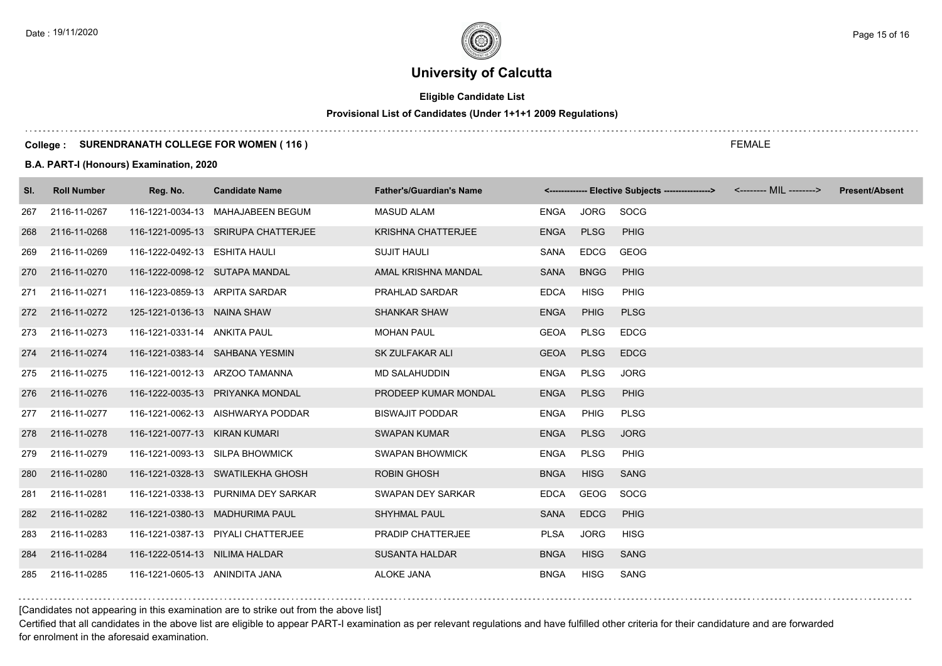# **Eligible Candidate List**

# **Provisional List of Candidates (Under 1+1+1 2009 Regulations)**

#### **College : SURENDRANATH COLLEGE FOR WOMEN ( 116 )**

#### **B.A. PART-I (Honours) Examination, 2020**

| SI. | <b>Roll Number</b> | Reg. No.                       | <b>Candidate Name</b>               | <b>Father's/Guardian's Name</b> |             |             | <------------- Elective Subjects ----------------> <-------- MIL --------> |  | <b>Present/Absent</b> |
|-----|--------------------|--------------------------------|-------------------------------------|---------------------------------|-------------|-------------|----------------------------------------------------------------------------|--|-----------------------|
| 267 | 2116-11-0267       |                                | 116-1221-0034-13 MAHAJABEEN BEGUM   | <b>MASUD ALAM</b>               | ENGA        | JORG        | SOCG                                                                       |  |                       |
| 268 | 2116-11-0268       |                                | 116-1221-0095-13 SRIRUPA CHATTERJEE | <b>KRISHNA CHATTERJEE</b>       | <b>ENGA</b> | <b>PLSG</b> | <b>PHIG</b>                                                                |  |                       |
| 269 | 2116-11-0269       | 116-1222-0492-13 ESHITA HAULI  |                                     | <b>SUJIT HAULI</b>              | SANA        | <b>EDCG</b> | <b>GEOG</b>                                                                |  |                       |
| 270 | 2116-11-0270       | 116-1222-0098-12 SUTAPA MANDAL |                                     | AMAL KRISHNA MANDAL             | <b>SANA</b> | <b>BNGG</b> | <b>PHIG</b>                                                                |  |                       |
| 271 | 2116-11-0271       | 116-1223-0859-13 ARPITA SARDAR |                                     | <b>PRAHLAD SARDAR</b>           | <b>EDCA</b> | <b>HISG</b> | <b>PHIG</b>                                                                |  |                       |
| 272 | 2116-11-0272       | 125-1221-0136-13 NAINA SHAW    |                                     | <b>SHANKAR SHAW</b>             | <b>ENGA</b> | PHIG        | <b>PLSG</b>                                                                |  |                       |
| 273 | 2116-11-0273       | 116-1221-0331-14 ANKITA PAUL   |                                     | <b>MOHAN PAUL</b>               | <b>GEOA</b> | <b>PLSG</b> | <b>EDCG</b>                                                                |  |                       |
| 274 | 2116-11-0274       |                                | 116-1221-0383-14 SAHBANA YESMIN     | <b>SK ZULFAKAR ALI</b>          | <b>GEOA</b> | <b>PLSG</b> | <b>EDCG</b>                                                                |  |                       |
| 275 | 2116-11-0275       |                                | 116-1221-0012-13 ARZOO TAMANNA      | <b>MD SALAHUDDIN</b>            | <b>ENGA</b> | PLSG        | <b>JORG</b>                                                                |  |                       |
| 276 | 2116-11-0276       |                                | 116-1222-0035-13 PRIYANKA MONDAL    | PRODEEP KUMAR MONDAL            | <b>ENGA</b> | <b>PLSG</b> | <b>PHIG</b>                                                                |  |                       |
| 277 | 2116-11-0277       |                                | 116-1221-0062-13 AISHWARYA PODDAR   | <b>BISWAJIT PODDAR</b>          | <b>ENGA</b> | <b>PHIG</b> | <b>PLSG</b>                                                                |  |                       |
| 278 | 2116-11-0278       | 116-1221-0077-13 KIRAN KUMARI  |                                     | <b>SWAPAN KUMAR</b>             | <b>ENGA</b> | <b>PLSG</b> | <b>JORG</b>                                                                |  |                       |
| 279 | 2116-11-0279       |                                | 116-1221-0093-13 SILPA BHOWMICK     | <b>SWAPAN BHOWMICK</b>          | <b>ENGA</b> | PLSG        | PHIG                                                                       |  |                       |
| 280 | 2116-11-0280       |                                | 116-1221-0328-13 SWATILEKHA GHOSH   | <b>ROBIN GHOSH</b>              | <b>BNGA</b> | <b>HISG</b> | <b>SANG</b>                                                                |  |                       |
| 281 | 2116-11-0281       |                                | 116-1221-0338-13 PURNIMA DEY SARKAR | SWAPAN DEY SARKAR               | <b>EDCA</b> | GEOG        | SOCG                                                                       |  |                       |
| 282 | 2116-11-0282       |                                | 116-1221-0380-13 MADHURIMA PAUL     | <b>SHYHMAL PAUL</b>             | <b>SANA</b> | <b>EDCG</b> | <b>PHIG</b>                                                                |  |                       |
| 283 | 2116-11-0283       |                                | 116-1221-0387-13 PIYALI CHATTERJEE  | PRADIP CHATTERJEE               | <b>PLSA</b> | JORG        | <b>HISG</b>                                                                |  |                       |
| 284 | 2116-11-0284       | 116-1222-0514-13 NILIMA HALDAR |                                     | <b>SUSANTA HALDAR</b>           | <b>BNGA</b> | <b>HISG</b> | <b>SANG</b>                                                                |  |                       |
| 285 | 2116-11-0285       | 116-1221-0605-13 ANINDITA JANA |                                     | <b>ALOKE JANA</b>               | <b>BNGA</b> | <b>HISG</b> | SANG                                                                       |  |                       |

[Candidates not appearing in this examination are to strike out from the above list]

Certified that all candidates in the above list are eligible to appear PART-I examination as per relevant regulations and have fulfilled other criteria for their candidature and are forwarded for enrolment in the aforesaid examination.